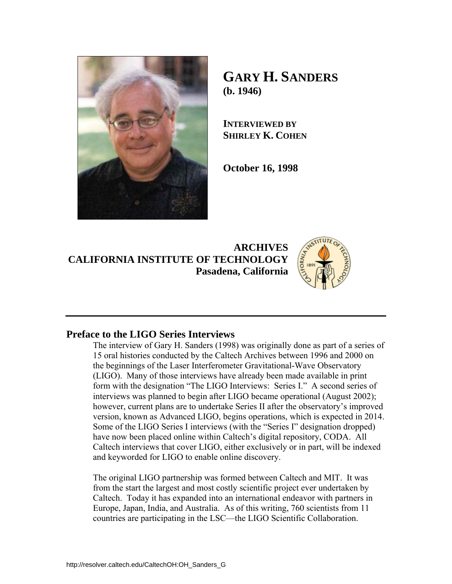

# **GARY H. SANDERS (b. 1946)**

**INTERVIEWED BY SHIRLEY K. COHEN**

**October 16, 1998** 

**ARCHIVES CALIFORNIA INSTITUTE OF TECHNOLOGY Pasadena, California**



### **Preface to the LIGO Series Interviews**

The interview of Gary H. Sanders (1998) was originally done as part of a series of 15 oral histories conducted by the Caltech Archives between 1996 and 2000 on the beginnings of the Laser Interferometer Gravitational-Wave Observatory (LIGO). Many of those interviews have already been made available in print form with the designation "The LIGO Interviews: Series I." A second series of interviews was planned to begin after LIGO became operational (August 2002); however, current plans are to undertake Series II after the observatory's improved version, known as Advanced LIGO, begins operations, which is expected in 2014. Some of the LIGO Series I interviews (with the "Series I" designation dropped) have now been placed online within Caltech's digital repository, CODA. All Caltech interviews that cover LIGO, either exclusively or in part, will be indexed and keyworded for LIGO to enable online discovery.

The original LIGO partnership was formed between Caltech and MIT. It was from the start the largest and most costly scientific project ever undertaken by Caltech. Today it has expanded into an international endeavor with partners in Europe, Japan, India, and Australia. As of this writing, 760 scientists from 11 countries are participating in the LSC—the LIGO Scientific Collaboration.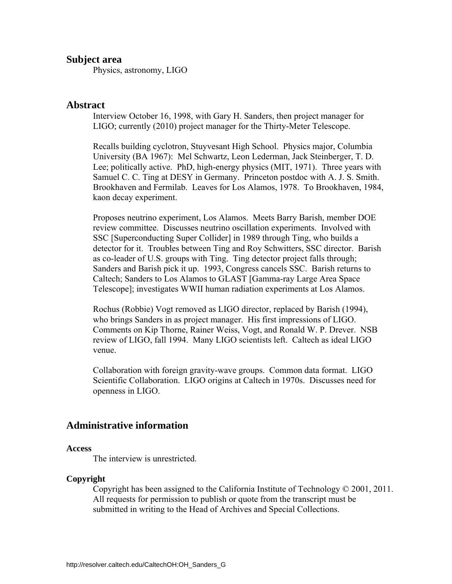### **Subject area**

Physics, astronomy, LIGO

### **Abstract**

Interview October 16, 1998, with Gary H. Sanders, then project manager for LIGO; currently (2010) project manager for the Thirty-Meter Telescope.

Recalls building cyclotron, Stuyvesant High School. Physics major, Columbia University (BA 1967): Mel Schwartz, Leon Lederman, Jack Steinberger, T. D. Lee; politically active. PhD, high-energy physics (MIT, 1971). Three years with Samuel C. C. Ting at DESY in Germany. Princeton postdoc with A. J. S. Smith. Brookhaven and Fermilab. Leaves for Los Alamos, 1978. To Brookhaven, 1984, kaon decay experiment.

Proposes neutrino experiment, Los Alamos. Meets Barry Barish, member DOE review committee. Discusses neutrino oscillation experiments. Involved with SSC [Superconducting Super Collider] in 1989 through Ting, who builds a detector for it. Troubles between Ting and Roy Schwitters, SSC director. Barish as co-leader of U.S. groups with Ting. Ting detector project falls through; Sanders and Barish pick it up. 1993, Congress cancels SSC. Barish returns to Caltech; Sanders to Los Alamos to GLAST [Gamma-ray Large Area Space Telescope]; investigates WWII human radiation experiments at Los Alamos.

Rochus (Robbie) Vogt removed as LIGO director, replaced by Barish (1994), who brings Sanders in as project manager. His first impressions of LIGO. Comments on Kip Thorne, Rainer Weiss, Vogt, and Ronald W. P. Drever. NSB review of LIGO, fall 1994. Many LIGO scientists left. Caltech as ideal LIGO venue.

Collaboration with foreign gravity-wave groups. Common data format. LIGO Scientific Collaboration. LIGO origins at Caltech in 1970s. Discusses need for openness in LIGO.

### **Administrative information**

#### **Access**

The interview is unrestricted.

### **Copyright**

 Copyright has been assigned to the California Institute of Technology © 2001, 2011. All requests for permission to publish or quote from the transcript must be submitted in writing to the Head of Archives and Special Collections.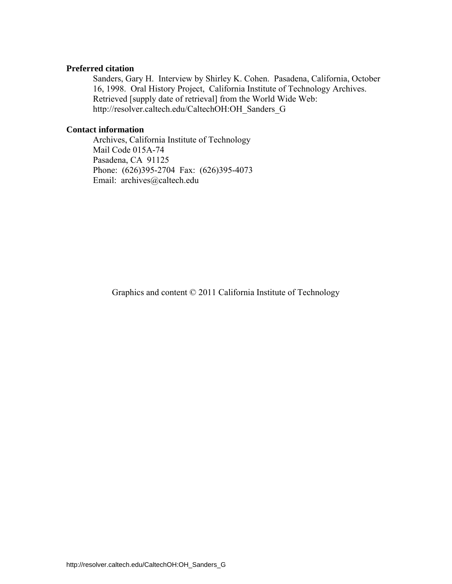### **Preferred citation**

 Sanders, Gary H. Interview by Shirley K. Cohen. Pasadena, California, October 16, 1998. Oral History Project, California Institute of Technology Archives. Retrieved [supply date of retrieval] from the World Wide Web: http://resolver.caltech.edu/CaltechOH:OH\_Sanders\_G

### **Contact information**

 Archives, California Institute of Technology Mail Code 015A-74 Pasadena, CA 91125 Phone: (626)395-2704 Fax: (626)395-4073 Email: archives@caltech.edu

Graphics and content © 2011 California Institute of Technology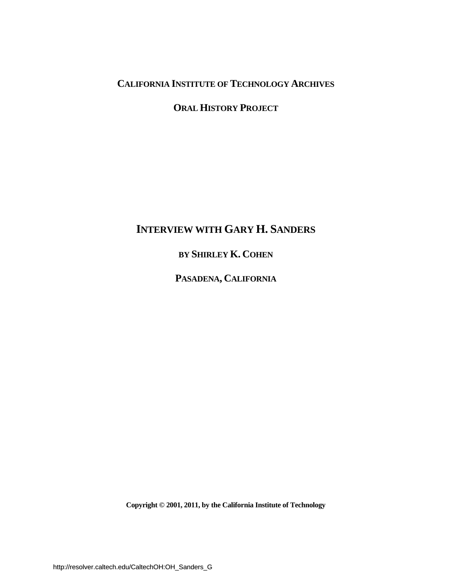## **CALIFORNIA INSTITUTE OF TECHNOLOGY ARCHIVES**

**ORAL HISTORY PROJECT**

# **INTERVIEW WITH GARY H. SANDERS**

## **BY SHIRLEY K. COHEN**

**PASADENA, CALIFORNIA**

**Copyright © 2001, 2011, by the California Institute of Technology**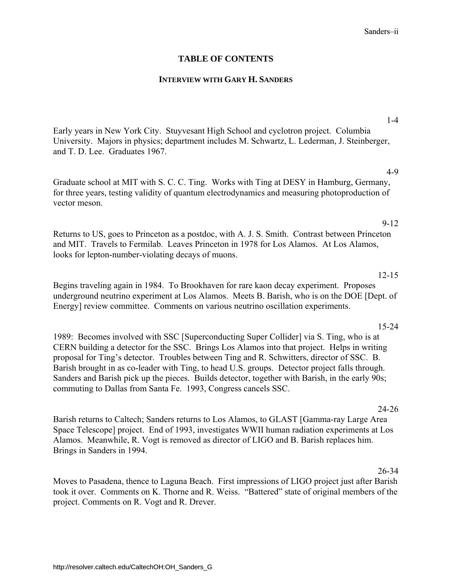### **TABLE OF CONTENTS**

### **INTERVIEW WITH GARY H. SANDERS**

Early years in New York City. Stuyvesant High School and cyclotron project. Columbia [University. Majors in physics; department includes M. Schwartz, L. Lederman, J. Steinberger,](#page-6-0)  and T. D. Lee. Graduates 1967.

[Graduate school at MIT with S. C. C. Ting. Works with Ting at DESY in Hamburg, Germany,](#page-9-0)  for three years, testing validity of quantum electrodynamics and measuring photoproduction of vector meson.

[Returns to US, goes to Princeton as a postdoc, with A. J. S. Smith. Contrast between Princeton](#page-14-0)  and MIT. Travels to Fermilab. Leaves Princeton in 1978 for Los Alamos. At Los Alamos, looks for lepton-number-violating decays of muons.

Begins traveling again in 1984. To Brookhaven for rare kaon decay experiment. Proposes [underground neutrino experiment at Los Alamos. Meets B. Barish, who is on the DOE \[Dept. of](#page-17-0)  Energy] review committee. Comments on various neutrino oscillation experiments.

1989: Becomes involved with SSC [Superconducting Super Collider] via S. Ting, who is at [CERN building a detector for the SSC. Brings Los Alamos into that project. Helps in writing](#page-20-0)  proposal for Ting's detector. Troubles between Ting and R. Schwitters, director of SSC. B. Barish brought in as co-leader with Ting, to head U.S. groups. Detector project falls through. Sanders and Barish pick up the pieces. Builds detector, together with Barish, in the early 90s; commuting to Dallas from Santa Fe. 1993, Congress cancels SSC.

24-26

Barish returns to Caltech; Sanders returns to Los Alamos, to GLAST [Gamma-ray Large Area [Space Telescope\] project. End of 1993, investigates WWII human radiation experiments at Los](#page-29-0)  Alamos. Meanwhile, R. Vogt is removed as director of LIGO and B. Barish replaces him. Brings in Sanders in 1994.

26-34

[Moves to Pasadena, thence to Laguna Beach. First impressions of LIGO project just after Barish](#page-31-0)  took it over. Comments on K. Thorne and R. Weiss. "Battered" state of original members of the project. Comments on R. Vogt and R. Drever.

#### 1-4

4-9

### 9-12

### 12-15

15-24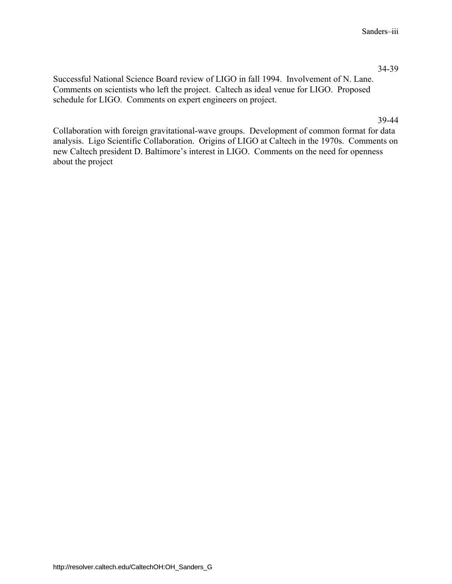#### 34-39

[Successful National Science Board review of LIGO in fall 1994. Involvement of N. Lane.](#page-39-0)  Comments on scientists who left the project. Caltech as ideal venue for LIGO. Proposed schedule for LIGO. Comments on expert engineers on project.

#### 39-44

Collaboration with foreign gravitational-wave groups. Development of common format for data [analysis. Ligo Scientific Collaboration. Origins of LIGO at Caltech in the 1970s. Comments on](#page-44-0)  new Caltech president D. Baltimore's interest in LIGO. Comments on the need for openness about the project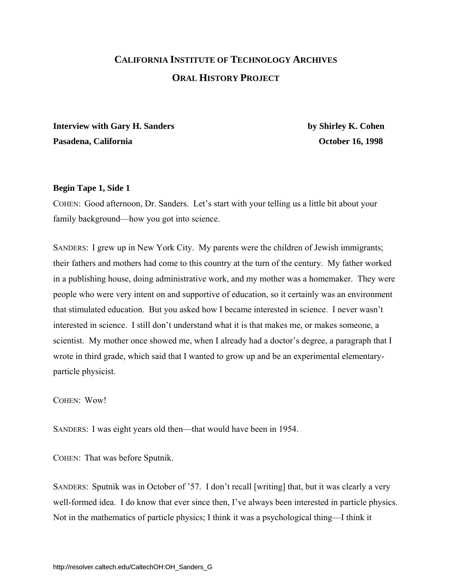# <span id="page-6-0"></span>**CALIFORNIA INSTITUTE OF TECHNOLOGY ARCHIVES ORAL HISTORY PROJECT**

**Interview with Gary H. Sanders by Shirley K. Cohen** Pasadena, California **December 16, 1998 October 16, 1998** 

### **Begin Tape 1, Side 1**

COHEN:Good afternoon, Dr. Sanders. Let's start with your telling us a little bit about your family background—how you got into science.

SANDERS: I grew up in New York City. My parents were the children of Jewish immigrants; their fathers and mothers had come to this country at the turn of the century. My father worked in a publishing house, doing administrative work, and my mother was a homemaker. They were people who were very intent on and supportive of education, so it certainly was an environment that stimulated education. But you asked how I became interested in science. I never wasn't interested in science. I still don't understand what it is that makes me, or makes someone, a scientist. My mother once showed me, when I already had a doctor's degree, a paragraph that I wrote in third grade, which said that I wanted to grow up and be an experimental elementaryparticle physicist.

COHEN: Wow!

SANDERS: I was eight years old then—that would have been in 1954.

COHEN: That was before Sputnik.

SANDERS: Sputnik was in October of '57. I don't recall [writing] that, but it was clearly a very well-formed idea. I do know that ever since then, I've always been interested in particle physics. Not in the mathematics of particle physics; I think it was a psychological thing—I think it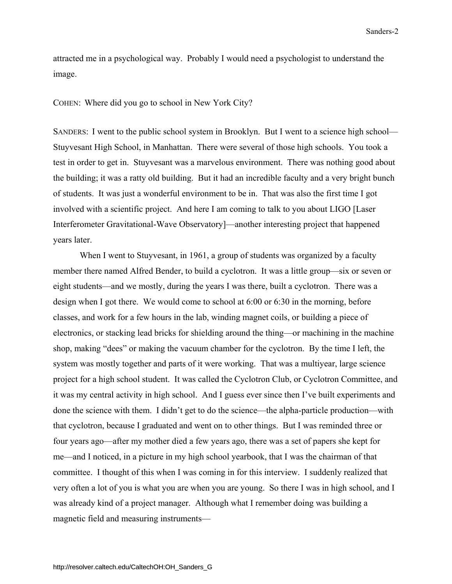attracted me in a psychological way. Probably I would need a psychologist to understand the image.

COHEN: Where did you go to school in New York City?

SANDERS: I went to the public school system in Brooklyn. But I went to a science high school— Stuyvesant High School, in Manhattan. There were several of those high schools. You took a test in order to get in. Stuyvesant was a marvelous environment. There was nothing good about the building; it was a ratty old building. But it had an incredible faculty and a very bright bunch of students. It was just a wonderful environment to be in. That was also the first time I got involved with a scientific project. And here I am coming to talk to you about LIGO [Laser Interferometer Gravitational-Wave Observatory]—another interesting project that happened years later.

When I went to Stuyvesant, in 1961, a group of students was organized by a faculty member there named Alfred Bender, to build a cyclotron. It was a little group—six or seven or eight students—and we mostly, during the years I was there, built a cyclotron. There was a design when I got there. We would come to school at 6:00 or 6:30 in the morning, before classes, and work for a few hours in the lab, winding magnet coils, or building a piece of electronics, or stacking lead bricks for shielding around the thing—or machining in the machine shop, making "dees" or making the vacuum chamber for the cyclotron. By the time I left, the system was mostly together and parts of it were working. That was a multiyear, large science project for a high school student. It was called the Cyclotron Club, or Cyclotron Committee, and it was my central activity in high school. And I guess ever since then I've built experiments and done the science with them. I didn't get to do the science—the alpha-particle production—with that cyclotron, because I graduated and went on to other things. But I was reminded three or four years ago—after my mother died a few years ago, there was a set of papers she kept for me—and I noticed, in a picture in my high school yearbook, that I was the chairman of that committee. I thought of this when I was coming in for this interview. I suddenly realized that very often a lot of you is what you are when you are young. So there I was in high school, and I was already kind of a project manager. Although what I remember doing was building a magnetic field and measuring instruments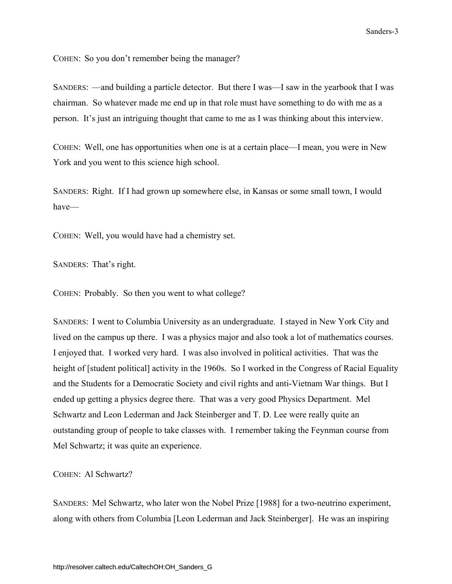COHEN: So you don't remember being the manager?

SANDERS: —and building a particle detector. But there I was—I saw in the yearbook that I was chairman. So whatever made me end up in that role must have something to do with me as a person. It's just an intriguing thought that came to me as I was thinking about this interview.

COHEN: Well, one has opportunities when one is at a certain place—I mean, you were in New York and you went to this science high school.

SANDERS: Right. If I had grown up somewhere else, in Kansas or some small town, I would have—

COHEN: Well, you would have had a chemistry set.

SANDERS: That's right.

COHEN: Probably. So then you went to what college?

SANDERS: I went to Columbia University as an undergraduate. I stayed in New York City and lived on the campus up there. I was a physics major and also took a lot of mathematics courses. I enjoyed that. I worked very hard. I was also involved in political activities. That was the height of [student political] activity in the 1960s. So I worked in the Congress of Racial Equality and the Students for a Democratic Society and civil rights and anti-Vietnam War things. But I ended up getting a physics degree there. That was a very good Physics Department. Mel Schwartz and Leon Lederman and Jack Steinberger and T. D. Lee were really quite an outstanding group of people to take classes with. I remember taking the Feynman course from Mel Schwartz; it was quite an experience.

COHEN: Al Schwartz?

SANDERS: Mel Schwartz, who later won the Nobel Prize [1988] for a two-neutrino experiment, along with others from Columbia [Leon Lederman and Jack Steinberger]. He was an inspiring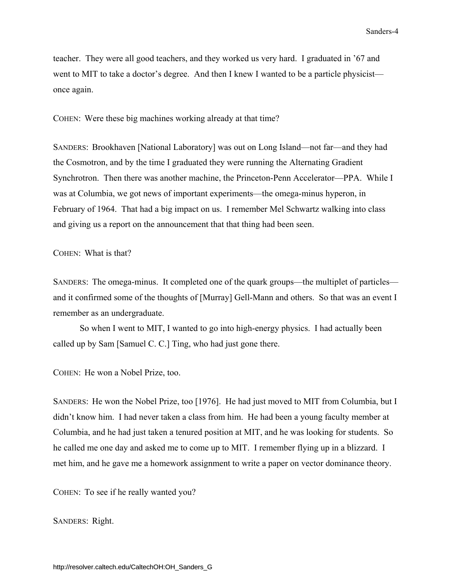<span id="page-9-0"></span>teacher. They were all good teachers, and they worked us very hard. I graduated in '67 and went to MIT to take a doctor's degree. And then I knew I wanted to be a particle physicist once again.

COHEN: Were these big machines working already at that time?

SANDERS: Brookhaven [National Laboratory] was out on Long Island—not far—and they had the Cosmotron, and by the time I graduated they were running the Alternating Gradient Synchrotron. Then there was another machine, the Princeton-Penn Accelerator—PPA. While I was at Columbia, we got news of important experiments—the omega-minus hyperon, in February of 1964. That had a big impact on us. I remember Mel Schwartz walking into class and giving us a report on the announcement that that thing had been seen.

COHEN: What is that?

SANDERS: The omega-minus. It completed one of the quark groups—the multiplet of particles and it confirmed some of the thoughts of [Murray] Gell-Mann and others. So that was an event I remember as an undergraduate.

 So when I went to MIT, I wanted to go into high-energy physics. I had actually been called up by Sam [Samuel C. C.] Ting, who had just gone there.

COHEN: He won a Nobel Prize, too.

SANDERS: He won the Nobel Prize, too [1976]. He had just moved to MIT from Columbia, but I didn't know him. I had never taken a class from him. He had been a young faculty member at Columbia, and he had just taken a tenured position at MIT, and he was looking for students. So he called me one day and asked me to come up to MIT. I remember flying up in a blizzard. I met him, and he gave me a homework assignment to write a paper on vector dominance theory.

COHEN: To see if he really wanted you?

SANDERS: Right.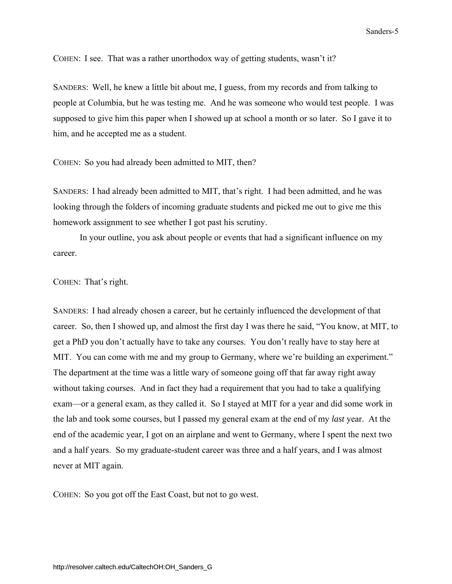COHEN: I see. That was a rather unorthodox way of getting students, wasn't it?

SANDERS: Well, he knew a little bit about me, I guess, from my records and from talking to people at Columbia, but he was testing me. And he was someone who would test people. I was supposed to give him this paper when I showed up at school a month or so later. So I gave it to him, and he accepted me as a student.

COHEN: So you had already been admitted to MIT, then?

SANDERS: I had already been admitted to MIT, that's right. I had been admitted, and he was looking through the folders of incoming graduate students and picked me out to give me this homework assignment to see whether I got past his scrutiny.

 In your outline, you ask about people or events that had a significant influence on my career.

COHEN: That's right.

SANDERS: I had already chosen a career, but he certainly influenced the development of that career. So, then I showed up, and almost the first day I was there he said, "You know, at MIT, to get a PhD you don't actually have to take any courses. You don't really have to stay here at MIT. You can come with me and my group to Germany, where we're building an experiment." The department at the time was a little wary of someone going off that far away right away without taking courses. And in fact they had a requirement that you had to take a qualifying exam—or a general exam, as they called it. So I stayed at MIT for a year and did some work in the lab and took some courses, but I passed my general exam at the end of my *last* year. At the end of the academic year, I got on an airplane and went to Germany, where I spent the next two and a half years. So my graduate-student career was three and a half years, and I was almost never at MIT again.

COHEN: So you got off the East Coast, but not to go west.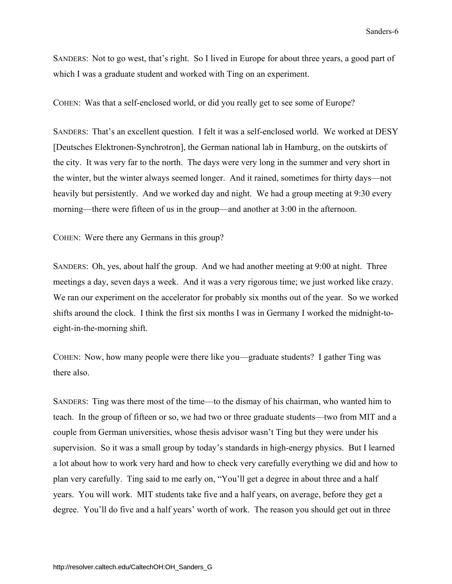SANDERS: Not to go west, that's right. So I lived in Europe for about three years, a good part of which I was a graduate student and worked with Ting on an experiment.

COHEN: Was that a self-enclosed world, or did you really get to see some of Europe?

SANDERS: That's an excellent question. I felt it was a self-enclosed world. We worked at DESY [Deutsches Elektronen-Synchrotron], the German national lab in Hamburg, on the outskirts of the city. It was very far to the north. The days were very long in the summer and very short in the winter, but the winter always seemed longer. And it rained, sometimes for thirty days—not heavily but persistently. And we worked day and night. We had a group meeting at 9:30 every morning—there were fifteen of us in the group—and another at 3:00 in the afternoon.

COHEN: Were there any Germans in this group?

SANDERS: Oh, yes, about half the group. And we had another meeting at 9:00 at night. Three meetings a day, seven days a week. And it was a very rigorous time; we just worked like crazy. We ran our experiment on the accelerator for probably six months out of the year. So we worked shifts around the clock. I think the first six months I was in Germany I worked the midnight-toeight-in-the-morning shift.

COHEN: Now, how many people were there like you—graduate students? I gather Ting was there also.

SANDERS: Ting was there most of the time—to the dismay of his chairman, who wanted him to teach. In the group of fifteen or so, we had two or three graduate students—two from MIT and a couple from German universities, whose thesis advisor wasn't Ting but they were under his supervision. So it was a small group by today's standards in high-energy physics. But I learned a lot about how to work very hard and how to check very carefully everything we did and how to plan very carefully. Ting said to me early on, "You'll get a degree in about three and a half years. You will work. MIT students take five and a half years, on average, before they get a degree. You'll do five and a half years' worth of work. The reason you should get out in three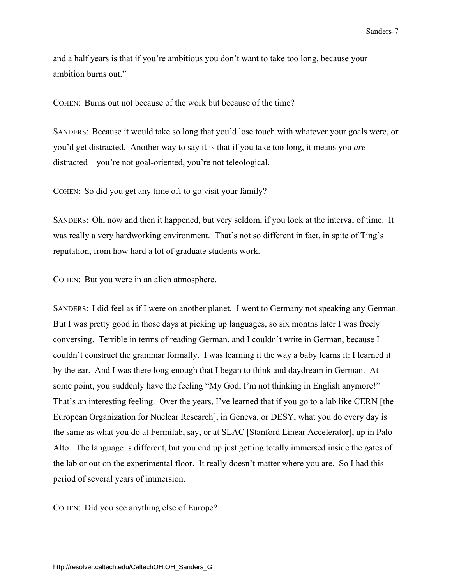and a half years is that if you're ambitious you don't want to take too long, because your ambition burns out."

COHEN: Burns out not because of the work but because of the time?

SANDERS: Because it would take so long that you'd lose touch with whatever your goals were, or you'd get distracted. Another way to say it is that if you take too long, it means you *are* distracted—you're not goal-oriented, you're not teleological.

COHEN: So did you get any time off to go visit your family?

SANDERS: Oh, now and then it happened, but very seldom, if you look at the interval of time. It was really a very hardworking environment. That's not so different in fact, in spite of Ting's reputation, from how hard a lot of graduate students work.

COHEN: But you were in an alien atmosphere.

SANDERS: I did feel as if I were on another planet. I went to Germany not speaking any German. But I was pretty good in those days at picking up languages, so six months later I was freely conversing. Terrible in terms of reading German, and I couldn't write in German, because I couldn't construct the grammar formally. I was learning it the way a baby learns it: I learned it by the ear. And I was there long enough that I began to think and daydream in German. At some point, you suddenly have the feeling "My God, I'm not thinking in English anymore!" That's an interesting feeling. Over the years, I've learned that if you go to a lab like CERN [the European Organization for Nuclear Research], in Geneva, or DESY, what you do every day is the same as what you do at Fermilab, say, or at SLAC [Stanford Linear Accelerator], up in Palo Alto. The language is different, but you end up just getting totally immersed inside the gates of the lab or out on the experimental floor. It really doesn't matter where you are. So I had this period of several years of immersion.

COHEN: Did you see anything else of Europe?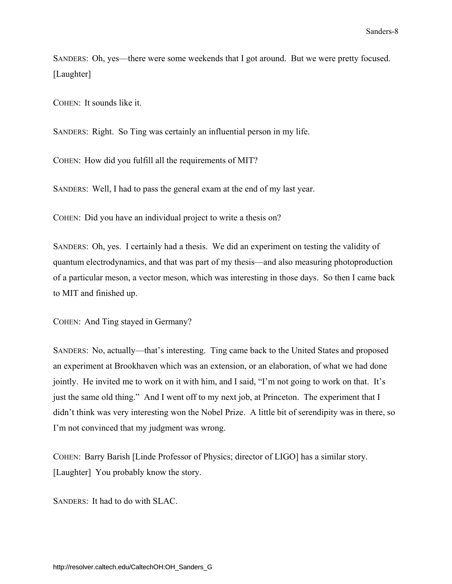SANDERS: Oh, yes—there were some weekends that I got around. But we were pretty focused. [Laughter]

COHEN: It sounds like it.

SANDERS: Right. So Ting was certainly an influential person in my life.

COHEN: How did you fulfill all the requirements of MIT?

SANDERS: Well, I had to pass the general exam at the end of my last year.

COHEN: Did you have an individual project to write a thesis on?

SANDERS: Oh, yes. I certainly had a thesis. We did an experiment on testing the validity of quantum electrodynamics, and that was part of my thesis—and also measuring photoproduction of a particular meson, a vector meson, which was interesting in those days. So then I came back to MIT and finished up.

COHEN: And Ting stayed in Germany?

SANDERS: No, actually—that's interesting. Ting came back to the United States and proposed an experiment at Brookhaven which was an extension, or an elaboration, of what we had done jointly. He invited me to work on it with him, and I said, "I'm not going to work on that. It's just the same old thing." And I went off to my next job, at Princeton. The experiment that I didn't think was very interesting won the Nobel Prize. A little bit of serendipity was in there, so I'm not convinced that my judgment was wrong.

COHEN: Barry Barish [Linde Professor of Physics; director of LIGO] has a similar story. [Laughter] You probably know the story.

SANDERS: It had to do with SLAC.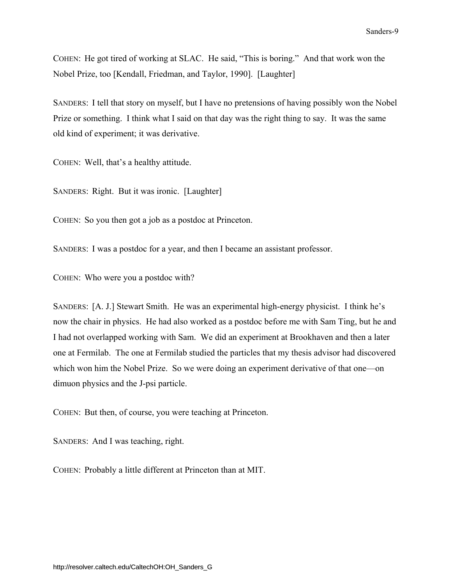<span id="page-14-0"></span>COHEN: He got tired of working at SLAC. He said, "This is boring." And that work won the Nobel Prize, too [Kendall, Friedman, and Taylor, 1990]. [Laughter]

SANDERS: I tell that story on myself, but I have no pretensions of having possibly won the Nobel Prize or something. I think what I said on that day was the right thing to say. It was the same old kind of experiment; it was derivative.

COHEN: Well, that's a healthy attitude.

SANDERS: Right. But it was ironic. [Laughter]

COHEN: So you then got a job as a postdoc at Princeton.

SANDERS: I was a postdoc for a year, and then I became an assistant professor.

COHEN: Who were you a postdoc with?

SANDERS: [A. J.] Stewart Smith. He was an experimental high-energy physicist. I think he's now the chair in physics. He had also worked as a postdoc before me with Sam Ting, but he and I had not overlapped working with Sam. We did an experiment at Brookhaven and then a later one at Fermilab. The one at Fermilab studied the particles that my thesis advisor had discovered which won him the Nobel Prize. So we were doing an experiment derivative of that one—on dimuon physics and the J-psi particle.

COHEN: But then, of course, you were teaching at Princeton.

SANDERS: And I was teaching, right.

COHEN: Probably a little different at Princeton than at MIT.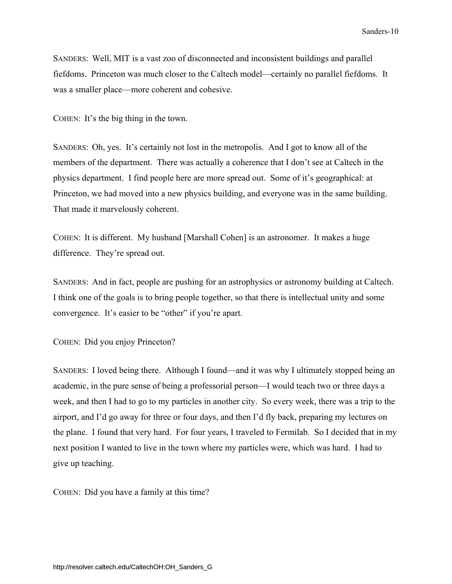SANDERS: Well, MIT is a vast zoo of disconnected and inconsistent buildings and parallel fiefdoms. Princeton was much closer to the Caltech model—certainly no parallel fiefdoms. It was a smaller place—more coherent and cohesive.

COHEN: It's the big thing in the town.

SANDERS: Oh, yes. It's certainly not lost in the metropolis. And I got to know all of the members of the department. There was actually a coherence that I don't see at Caltech in the physics department. I find people here are more spread out. Some of it's geographical: at Princeton, we had moved into a new physics building, and everyone was in the same building. That made it marvelously coherent.

COHEN: It is different. My husband [Marshall Cohen] is an astronomer. It makes a huge difference. They're spread out.

SANDERS: And in fact, people are pushing for an astrophysics or astronomy building at Caltech. I think one of the goals is to bring people together, so that there is intellectual unity and some convergence. It's easier to be "other" if you're apart.

COHEN: Did you enjoy Princeton?

SANDERS: I loved being there. Although I found—and it was why I ultimately stopped being an academic, in the pure sense of being a professorial person—I would teach two or three days a week, and then I had to go to my particles in another city. So every week, there was a trip to the airport, and I'd go away for three or four days, and then I'd fly back, preparing my lectures on the plane. I found that very hard. For four years, I traveled to Fermilab. So I decided that in my next position I wanted to live in the town where my particles were, which was hard. I had to give up teaching.

COHEN: Did you have a family at this time?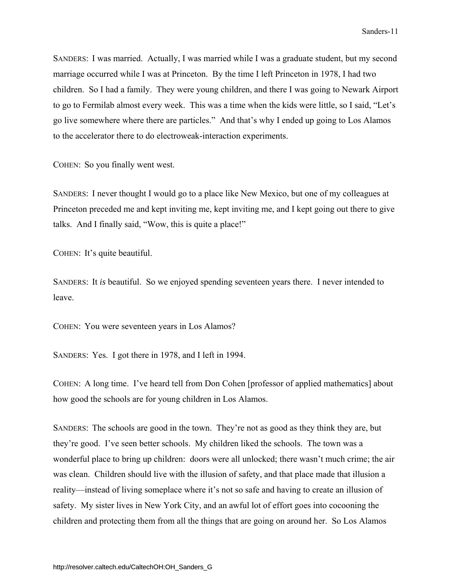SANDERS: I was married. Actually, I was married while I was a graduate student, but my second marriage occurred while I was at Princeton. By the time I left Princeton in 1978, I had two children. So I had a family. They were young children, and there I was going to Newark Airport to go to Fermilab almost every week. This was a time when the kids were little, so I said, "Let's go live somewhere where there are particles." And that's why I ended up going to Los Alamos to the accelerator there to do electroweak-interaction experiments.

COHEN: So you finally went west.

SANDERS: I never thought I would go to a place like New Mexico, but one of my colleagues at Princeton preceded me and kept inviting me, kept inviting me, and I kept going out there to give talks. And I finally said, "Wow, this is quite a place!"

COHEN: It's quite beautiful.

SANDERS: It *is* beautiful. So we enjoyed spending seventeen years there. I never intended to leave.

COHEN: You were seventeen years in Los Alamos?

SANDERS: Yes. I got there in 1978, and I left in 1994.

COHEN: A long time. I've heard tell from Don Cohen [professor of applied mathematics] about how good the schools are for young children in Los Alamos.

SANDERS: The schools are good in the town. They're not as good as they think they are, but they're good. I've seen better schools. My children liked the schools. The town was a wonderful place to bring up children: doors were all unlocked; there wasn't much crime; the air was clean. Children should live with the illusion of safety, and that place made that illusion a reality—instead of living someplace where it's not so safe and having to create an illusion of safety. My sister lives in New York City, and an awful lot of effort goes into cocooning the children and protecting them from all the things that are going on around her. So Los Alamos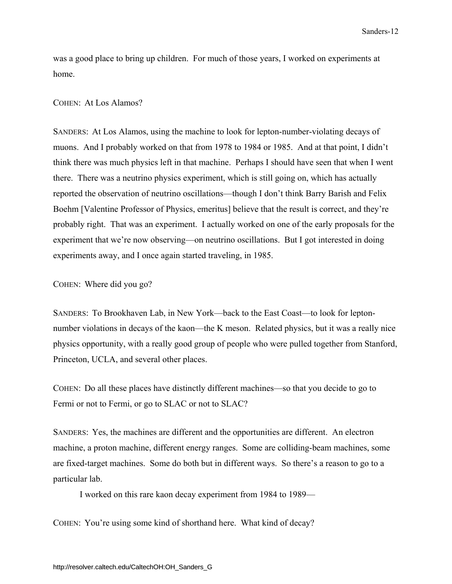<span id="page-17-0"></span>was a good place to bring up children. For much of those years, I worked on experiments at home.

### COHEN: At Los Alamos?

SANDERS: At Los Alamos, using the machine to look for lepton-number-violating decays of muons. And I probably worked on that from 1978 to 1984 or 1985. And at that point, I didn't think there was much physics left in that machine. Perhaps I should have seen that when I went there. There was a neutrino physics experiment, which is still going on, which has actually reported the observation of neutrino oscillations—though I don't think Barry Barish and Felix Boehm [Valentine Professor of Physics, emeritus] believe that the result is correct, and they're probably right. That was an experiment. I actually worked on one of the early proposals for the experiment that we're now observing—on neutrino oscillations. But I got interested in doing experiments away, and I once again started traveling, in 1985.

COHEN: Where did you go?

SANDERS: To Brookhaven Lab, in New York—back to the East Coast—to look for leptonnumber violations in decays of the kaon—the K meson. Related physics, but it was a really nice physics opportunity, with a really good group of people who were pulled together from Stanford, Princeton, UCLA, and several other places.

COHEN: Do all these places have distinctly different machines—so that you decide to go to Fermi or not to Fermi, or go to SLAC or not to SLAC?

SANDERS: Yes, the machines are different and the opportunities are different. An electron machine, a proton machine, different energy ranges. Some are colliding-beam machines, some are fixed-target machines. Some do both but in different ways. So there's a reason to go to a particular lab.

I worked on this rare kaon decay experiment from 1984 to 1989—

COHEN: You're using some kind of shorthand here. What kind of decay?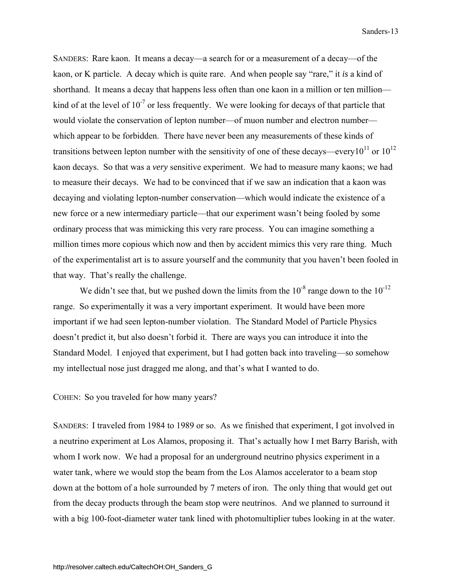SANDERS: Rare kaon. It means a decay—a search for or a measurement of a decay—of the kaon, or K particle. A decay which is quite rare. And when people say "rare," it *is* a kind of shorthand. It means a decay that happens less often than one kaon in a million or ten million kind of at the level of  $10^{-7}$  or less frequently. We were looking for decays of that particle that would violate the conservation of lepton number—of muon number and electron number which appear to be forbidden. There have never been any measurements of these kinds of transitions between lepton number with the sensitivity of one of these decays—every10<sup>11</sup> or 10<sup>12</sup> kaon decays. So that was a *very* sensitive experiment. We had to measure many kaons; we had to measure their decays. We had to be convinced that if we saw an indication that a kaon was decaying and violating lepton-number conservation—which would indicate the existence of a new force or a new intermediary particle—that our experiment wasn't being fooled by some ordinary process that was mimicking this very rare process. You can imagine something a million times more copious which now and then by accident mimics this very rare thing. Much of the experimentalist art is to assure yourself and the community that you haven't been fooled in that way. That's really the challenge.

We didn't see that, but we pushed down the limits from the  $10^{-8}$  range down to the  $10^{-12}$ range. So experimentally it was a very important experiment. It would have been more important if we had seen lepton-number violation. The Standard Model of Particle Physics doesn't predict it, but also doesn't forbid it. There are ways you can introduce it into the Standard Model. I enjoyed that experiment, but I had gotten back into traveling—so somehow my intellectual nose just dragged me along, and that's what I wanted to do.

COHEN: So you traveled for how many years?

SANDERS: I traveled from 1984 to 1989 or so. As we finished that experiment, I got involved in a neutrino experiment at Los Alamos, proposing it. That's actually how I met Barry Barish, with whom I work now. We had a proposal for an underground neutrino physics experiment in a water tank, where we would stop the beam from the Los Alamos accelerator to a beam stop down at the bottom of a hole surrounded by 7 meters of iron. The only thing that would get out from the decay products through the beam stop were neutrinos. And we planned to surround it with a big 100-foot-diameter water tank lined with photomultiplier tubes looking in at the water.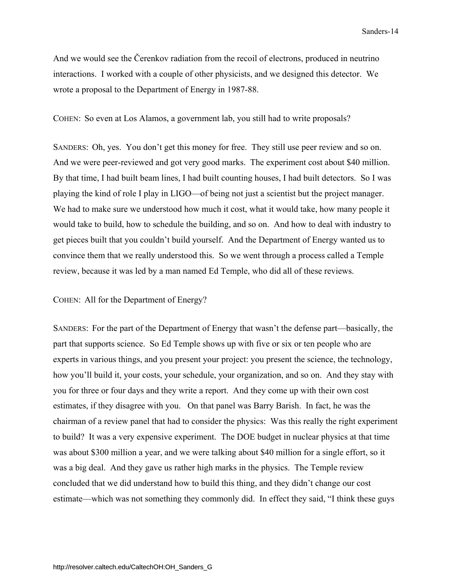And we would see the Čerenkov radiation from the recoil of electrons, produced in neutrino interactions. I worked with a couple of other physicists, and we designed this detector. We wrote a proposal to the Department of Energy in 1987-88.

COHEN: So even at Los Alamos, a government lab, you still had to write proposals?

SANDERS: Oh, yes. You don't get this money for free. They still use peer review and so on. And we were peer-reviewed and got very good marks. The experiment cost about \$40 million. By that time, I had built beam lines, I had built counting houses, I had built detectors. So I was playing the kind of role I play in LIGO—of being not just a scientist but the project manager. We had to make sure we understood how much it cost, what it would take, how many people it would take to build, how to schedule the building, and so on. And how to deal with industry to get pieces built that you couldn't build yourself. And the Department of Energy wanted us to convince them that we really understood this. So we went through a process called a Temple review, because it was led by a man named Ed Temple, who did all of these reviews.

### COHEN: All for the Department of Energy?

SANDERS: For the part of the Department of Energy that wasn't the defense part—basically, the part that supports science. So Ed Temple shows up with five or six or ten people who are experts in various things, and you present your project: you present the science, the technology, how you'll build it, your costs, your schedule, your organization, and so on. And they stay with you for three or four days and they write a report. And they come up with their own cost estimates, if they disagree with you. On that panel was Barry Barish. In fact, he was the chairman of a review panel that had to consider the physics: Was this really the right experiment to build? It was a very expensive experiment. The DOE budget in nuclear physics at that time was about \$300 million a year, and we were talking about \$40 million for a single effort, so it was a big deal. And they gave us rather high marks in the physics. The Temple review concluded that we did understand how to build this thing, and they didn't change our cost estimate—which was not something they commonly did. In effect they said, "I think these guys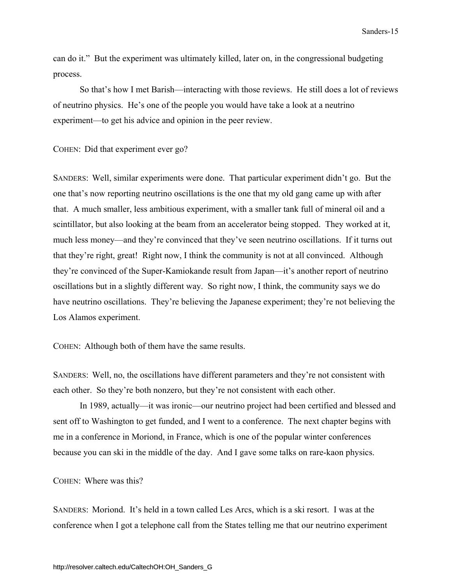<span id="page-20-0"></span>can do it." But the experiment was ultimately killed, later on, in the congressional budgeting process.

 So that's how I met Barish—interacting with those reviews. He still does a lot of reviews of neutrino physics. He's one of the people you would have take a look at a neutrino experiment—to get his advice and opinion in the peer review.

COHEN: Did that experiment ever go?

SANDERS: Well, similar experiments were done. That particular experiment didn't go. But the one that's now reporting neutrino oscillations is the one that my old gang came up with after that. A much smaller, less ambitious experiment, with a smaller tank full of mineral oil and a scintillator, but also looking at the beam from an accelerator being stopped. They worked at it, much less money—and they're convinced that they've seen neutrino oscillations. If it turns out that they're right, great! Right now, I think the community is not at all convinced. Although they're convinced of the Super-Kamiokande result from Japan—it's another report of neutrino oscillations but in a slightly different way. So right now, I think, the community says we do have neutrino oscillations. They're believing the Japanese experiment; they're not believing the Los Alamos experiment.

COHEN: Although both of them have the same results.

SANDERS: Well, no, the oscillations have different parameters and they're not consistent with each other. So they're both nonzero, but they're not consistent with each other.

 In 1989, actually—it was ironic—our neutrino project had been certified and blessed and sent off to Washington to get funded, and I went to a conference. The next chapter begins with me in a conference in Moriond, in France, which is one of the popular winter conferences because you can ski in the middle of the day. And I gave some talks on rare-kaon physics.

COHEN: Where was this?

SANDERS: Moriond. It's held in a town called Les Arcs, which is a ski resort. I was at the conference when I got a telephone call from the States telling me that our neutrino experiment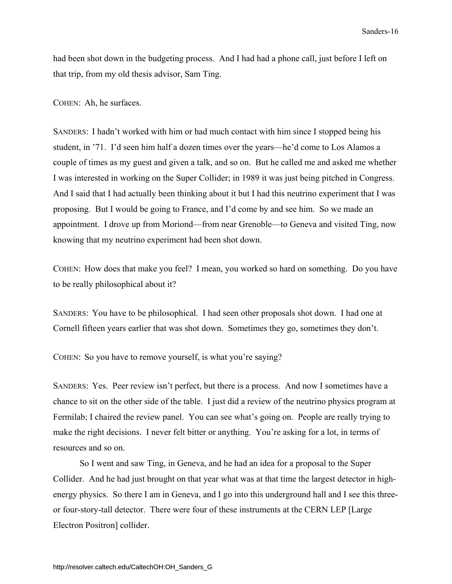had been shot down in the budgeting process. And I had had a phone call, just before I left on that trip, from my old thesis advisor, Sam Ting.

COHEN: Ah, he surfaces.

SANDERS: I hadn't worked with him or had much contact with him since I stopped being his student, in '71. I'd seen him half a dozen times over the years—he'd come to Los Alamos a couple of times as my guest and given a talk, and so on. But he called me and asked me whether I was interested in working on the Super Collider; in 1989 it was just being pitched in Congress. And I said that I had actually been thinking about it but I had this neutrino experiment that I was proposing. But I would be going to France, and I'd come by and see him. So we made an appointment. I drove up from Moriond—from near Grenoble—to Geneva and visited Ting, now knowing that my neutrino experiment had been shot down.

COHEN: How does that make you feel? I mean, you worked so hard on something. Do you have to be really philosophical about it?

SANDERS: You have to be philosophical. I had seen other proposals shot down. I had one at Cornell fifteen years earlier that was shot down. Sometimes they go, sometimes they don't.

COHEN: So you have to remove yourself, is what you're saying?

SANDERS: Yes. Peer review isn't perfect, but there is a process. And now I sometimes have a chance to sit on the other side of the table. I just did a review of the neutrino physics program at Fermilab; I chaired the review panel. You can see what's going on. People are really trying to make the right decisions. I never felt bitter or anything. You're asking for a lot, in terms of resources and so on.

 So I went and saw Ting, in Geneva, and he had an idea for a proposal to the Super Collider. And he had just brought on that year what was at that time the largest detector in highenergy physics. So there I am in Geneva, and I go into this underground hall and I see this threeor four-story-tall detector. There were four of these instruments at the CERN LEP [Large Electron Positron] collider.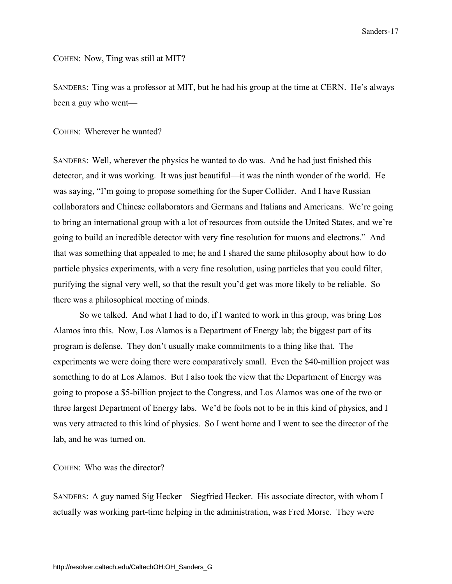COHEN: Now, Ting was still at MIT?

SANDERS: Ting was a professor at MIT, but he had his group at the time at CERN. He's always been a guy who went—

COHEN: Wherever he wanted?

SANDERS: Well, wherever the physics he wanted to do was. And he had just finished this detector, and it was working. It was just beautiful—it was the ninth wonder of the world. He was saying, "I'm going to propose something for the Super Collider. And I have Russian collaborators and Chinese collaborators and Germans and Italians and Americans. We're going to bring an international group with a lot of resources from outside the United States, and we're going to build an incredible detector with very fine resolution for muons and electrons." And that was something that appealed to me; he and I shared the same philosophy about how to do particle physics experiments, with a very fine resolution, using particles that you could filter, purifying the signal very well, so that the result you'd get was more likely to be reliable. So there was a philosophical meeting of minds.

So we talked. And what I had to do, if I wanted to work in this group, was bring Los Alamos into this. Now, Los Alamos is a Department of Energy lab; the biggest part of its program is defense. They don't usually make commitments to a thing like that. The experiments we were doing there were comparatively small. Even the \$40-million project was something to do at Los Alamos. But I also took the view that the Department of Energy was going to propose a \$5-billion project to the Congress, and Los Alamos was one of the two or three largest Department of Energy labs. We'd be fools not to be in this kind of physics, and I was very attracted to this kind of physics. So I went home and I went to see the director of the lab, and he was turned on.

COHEN: Who was the director?

SANDERS: A guy named Sig Hecker—Siegfried Hecker. His associate director, with whom I actually was working part-time helping in the administration, was Fred Morse. They were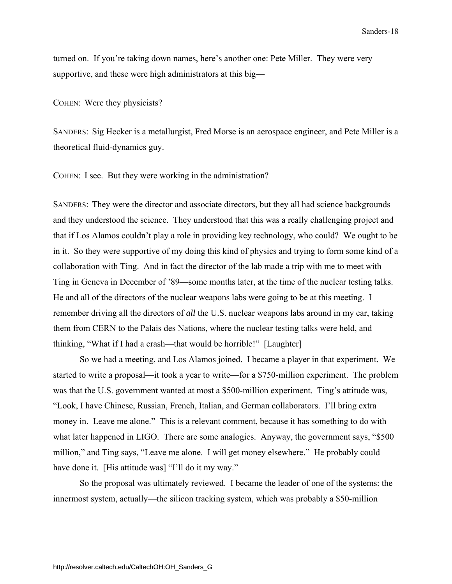turned on. If you're taking down names, here's another one: Pete Miller. They were very supportive, and these were high administrators at this big—

COHEN: Were they physicists?

SANDERS: Sig Hecker is a metallurgist, Fred Morse is an aerospace engineer, and Pete Miller is a theoretical fluid-dynamics guy.

COHEN: I see. But they were working in the administration?

SANDERS: They were the director and associate directors, but they all had science backgrounds and they understood the science. They understood that this was a really challenging project and that if Los Alamos couldn't play a role in providing key technology, who could? We ought to be in it. So they were supportive of my doing this kind of physics and trying to form some kind of a collaboration with Ting. And in fact the director of the lab made a trip with me to meet with Ting in Geneva in December of '89—some months later, at the time of the nuclear testing talks. He and all of the directors of the nuclear weapons labs were going to be at this meeting. I remember driving all the directors of *all* the U.S. nuclear weapons labs around in my car, taking them from CERN to the Palais des Nations, where the nuclear testing talks were held, and thinking, "What if I had a crash—that would be horrible!" [Laughter]

 So we had a meeting, and Los Alamos joined. I became a player in that experiment. We started to write a proposal—it took a year to write—for a \$750-million experiment. The problem was that the U.S. government wanted at most a \$500-million experiment. Ting's attitude was, "Look, I have Chinese, Russian, French, Italian, and German collaborators. I'll bring extra money in. Leave me alone." This is a relevant comment, because it has something to do with what later happened in LIGO. There are some analogies. Anyway, the government says, "\$500 million," and Ting says, "Leave me alone. I will get money elsewhere." He probably could have done it. [His attitude was] "I'll do it my way."

 So the proposal was ultimately reviewed. I became the leader of one of the systems: the innermost system, actually—the silicon tracking system, which was probably a \$50-million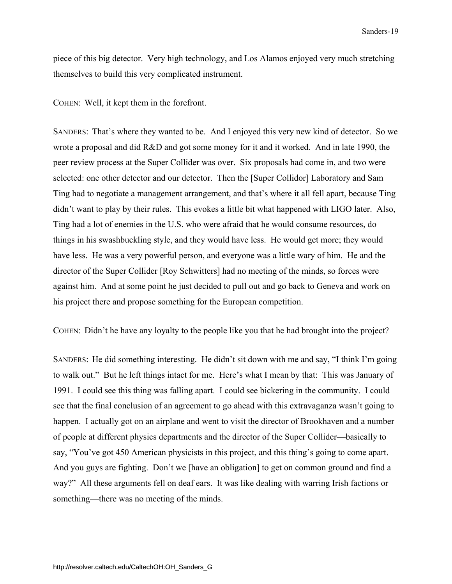piece of this big detector. Very high technology, and Los Alamos enjoyed very much stretching themselves to build this very complicated instrument.

COHEN: Well, it kept them in the forefront.

SANDERS: That's where they wanted to be. And I enjoyed this very new kind of detector. So we wrote a proposal and did R&D and got some money for it and it worked. And in late 1990, the peer review process at the Super Collider was over. Six proposals had come in, and two were selected: one other detector and our detector. Then the [Super Collidor] Laboratory and Sam Ting had to negotiate a management arrangement, and that's where it all fell apart, because Ting didn't want to play by their rules. This evokes a little bit what happened with LIGO later. Also, Ting had a lot of enemies in the U.S. who were afraid that he would consume resources, do things in his swashbuckling style, and they would have less. He would get more; they would have less. He was a very powerful person, and everyone was a little wary of him. He and the director of the Super Collider [Roy Schwitters] had no meeting of the minds, so forces were against him. And at some point he just decided to pull out and go back to Geneva and work on his project there and propose something for the European competition.

COHEN: Didn't he have any loyalty to the people like you that he had brought into the project?

SANDERS: He did something interesting. He didn't sit down with me and say, "I think I'm going to walk out." But he left things intact for me. Here's what I mean by that: This was January of 1991. I could see this thing was falling apart. I could see bickering in the community. I could see that the final conclusion of an agreement to go ahead with this extravaganza wasn't going to happen. I actually got on an airplane and went to visit the director of Brookhaven and a number of people at different physics departments and the director of the Super Collider—basically to say, "You've got 450 American physicists in this project, and this thing's going to come apart. And you guys are fighting. Don't we [have an obligation] to get on common ground and find a way?" All these arguments fell on deaf ears. It was like dealing with warring Irish factions or something—there was no meeting of the minds.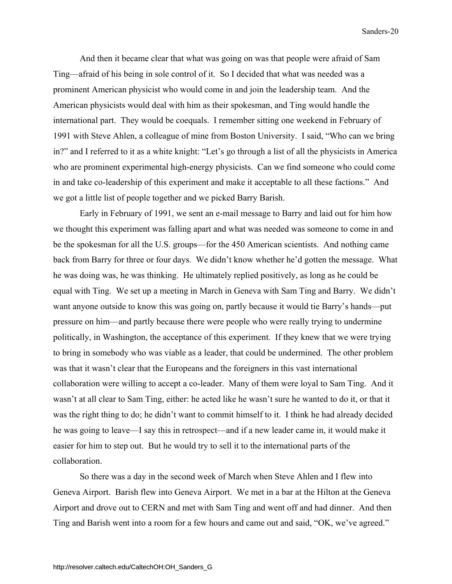And then it became clear that what was going on was that people were afraid of Sam Ting—afraid of his being in sole control of it. So I decided that what was needed was a prominent American physicist who would come in and join the leadership team. And the American physicists would deal with him as their spokesman, and Ting would handle the international part. They would be coequals. I remember sitting one weekend in February of 1991 with Steve Ahlen, a colleague of mine from Boston University. I said, "Who can we bring in?" and I referred to it as a white knight: "Let's go through a list of all the physicists in America who are prominent experimental high-energy physicists. Can we find someone who could come in and take co-leadership of this experiment and make it acceptable to all these factions." And we got a little list of people together and we picked Barry Barish.

 Early in February of 1991, we sent an e-mail message to Barry and laid out for him how we thought this experiment was falling apart and what was needed was someone to come in and be the spokesman for all the U.S. groups—for the 450 American scientists. And nothing came back from Barry for three or four days. We didn't know whether he'd gotten the message. What he was doing was, he was thinking. He ultimately replied positively, as long as he could be equal with Ting. We set up a meeting in March in Geneva with Sam Ting and Barry. We didn't want anyone outside to know this was going on, partly because it would tie Barry's hands—put pressure on him—and partly because there were people who were really trying to undermine politically, in Washington, the acceptance of this experiment. If they knew that we were trying to bring in somebody who was viable as a leader, that could be undermined. The other problem was that it wasn't clear that the Europeans and the foreigners in this vast international collaboration were willing to accept a co-leader. Many of them were loyal to Sam Ting. And it wasn't at all clear to Sam Ting, either: he acted like he wasn't sure he wanted to do it, or that it was the right thing to do; he didn't want to commit himself to it. I think he had already decided he was going to leave—I say this in retrospect—and if a new leader came in, it would make it easier for him to step out. But he would try to sell it to the international parts of the collaboration.

So there was a day in the second week of March when Steve Ahlen and I flew into Geneva Airport. Barish flew into Geneva Airport. We met in a bar at the Hilton at the Geneva Airport and drove out to CERN and met with Sam Ting and went off and had dinner. And then Ting and Barish went into a room for a few hours and came out and said, "OK, we've agreed."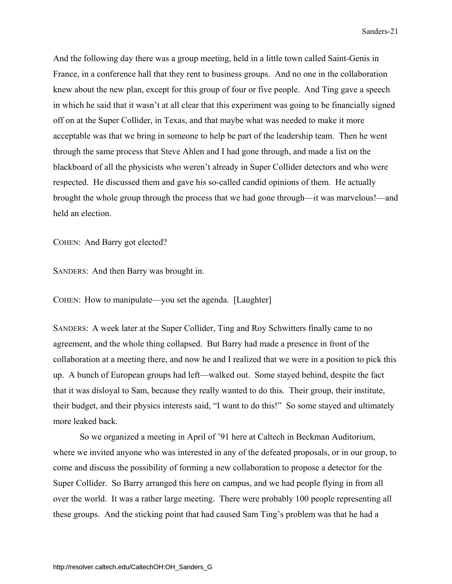And the following day there was a group meeting, held in a little town called Saint-Genis in France, in a conference hall that they rent to business groups. And no one in the collaboration knew about the new plan, except for this group of four or five people. And Ting gave a speech in which he said that it wasn't at all clear that this experiment was going to be financially signed off on at the Super Collider, in Texas, and that maybe what was needed to make it more acceptable was that we bring in someone to help be part of the leadership team. Then he went through the same process that Steve Ahlen and I had gone through, and made a list on the blackboard of all the physicists who weren't already in Super Collider detectors and who were respected. He discussed them and gave his so-called candid opinions of them. He actually brought the whole group through the process that we had gone through—it was marvelous!—and held an election.

COHEN: And Barry got elected?

SANDERS: And then Barry was brought in.

COHEN: How to manipulate—you set the agenda. [Laughter]

SANDERS: A week later at the Super Collider, Ting and Roy Schwitters finally came to no agreement, and the whole thing collapsed. But Barry had made a presence in front of the collaboration at a meeting there, and now he and I realized that we were in a position to pick this up. A bunch of European groups had left—walked out. Some stayed behind, despite the fact that it was disloyal to Sam, because they really wanted to do this. Their group, their institute, their budget, and their physics interests said, "I want to do this!" So some stayed and ultimately more leaked back.

 So we organized a meeting in April of '91 here at Caltech in Beckman Auditorium, where we invited anyone who was interested in any of the defeated proposals, or in our group, to come and discuss the possibility of forming a new collaboration to propose a detector for the Super Collider. So Barry arranged this here on campus, and we had people flying in from all over the world. It was a rather large meeting. There were probably 100 people representing all these groups. And the sticking point that had caused Sam Ting's problem was that he had a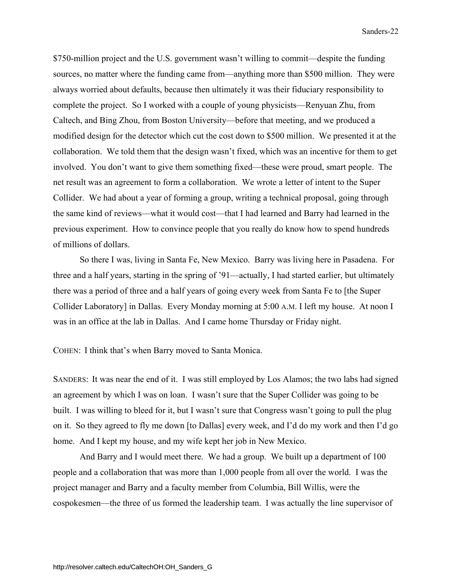\$750-million project and the U.S. government wasn't willing to commit—despite the funding sources, no matter where the funding came from—anything more than \$500 million. They were always worried about defaults, because then ultimately it was their fiduciary responsibility to complete the project. So I worked with a couple of young physicists—Renyuan Zhu, from Caltech, and Bing Zhou, from Boston University—before that meeting, and we produced a modified design for the detector which cut the cost down to \$500 million. We presented it at the collaboration. We told them that the design wasn't fixed, which was an incentive for them to get involved. You don't want to give them something fixed—these were proud, smart people. The net result was an agreement to form a collaboration. We wrote a letter of intent to the Super Collider. We had about a year of forming a group, writing a technical proposal, going through the same kind of reviews—what it would cost—that I had learned and Barry had learned in the previous experiment. How to convince people that you really do know how to spend hundreds of millions of dollars.

 So there I was, living in Santa Fe, New Mexico. Barry was living here in Pasadena. For three and a half years, starting in the spring of '91—actually, I had started earlier, but ultimately there was a period of three and a half years of going every week from Santa Fe to [the Super Collider Laboratory] in Dallas. Every Monday morning at 5:00 A.M. I left my house. At noon I was in an office at the lab in Dallas. And I came home Thursday or Friday night.

COHEN: I think that's when Barry moved to Santa Monica.

SANDERS: It was near the end of it. I was still employed by Los Alamos; the two labs had signed an agreement by which I was on loan. I wasn't sure that the Super Collider was going to be built. I was willing to bleed for it, but I wasn't sure that Congress wasn't going to pull the plug on it. So they agreed to fly me down [to Dallas] every week, and I'd do my work and then I'd go home. And I kept my house, and my wife kept her job in New Mexico.

 And Barry and I would meet there. We had a group. We built up a department of 100 people and a collaboration that was more than 1,000 people from all over the world. I was the project manager and Barry and a faculty member from Columbia, Bill Willis, were the cospokesmen—the three of us formed the leadership team. I was actually the line supervisor of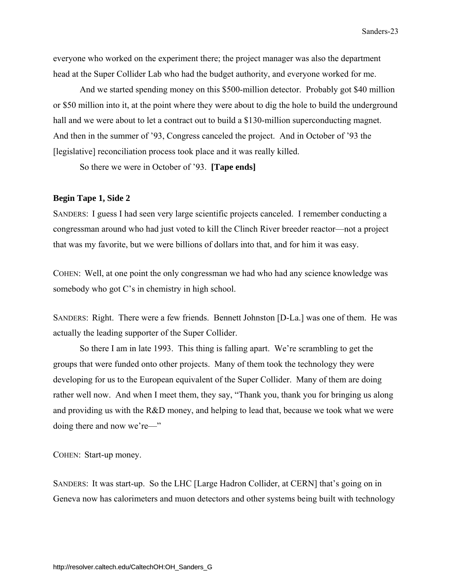everyone who worked on the experiment there; the project manager was also the department head at the Super Collider Lab who had the budget authority, and everyone worked for me.

 And we started spending money on this \$500-million detector. Probably got \$40 million or \$50 million into it, at the point where they were about to dig the hole to build the underground hall and we were about to let a contract out to build a \$130-million superconducting magnet. And then in the summer of '93, Congress canceled the project. And in October of '93 the [legislative] reconciliation process took place and it was really killed.

So there we were in October of '93. **[Tape ends]** 

### **Begin Tape 1, Side 2**

SANDERS: I guess I had seen very large scientific projects canceled. I remember conducting a congressman around who had just voted to kill the Clinch River breeder reactor—not a project that was my favorite, but we were billions of dollars into that, and for him it was easy.

COHEN: Well, at one point the only congressman we had who had any science knowledge was somebody who got C's in chemistry in high school.

SANDERS: Right. There were a few friends. Bennett Johnston [D-La.] was one of them. He was actually the leading supporter of the Super Collider.

 So there I am in late 1993. This thing is falling apart. We're scrambling to get the groups that were funded onto other projects. Many of them took the technology they were developing for us to the European equivalent of the Super Collider. Many of them are doing rather well now. And when I meet them, they say, "Thank you, thank you for bringing us along and providing us with the R&D money, and helping to lead that, because we took what we were doing there and now we're—"

COHEN: Start-up money.

SANDERS: It was start-up. So the LHC [Large Hadron Collider, at CERN] that's going on in Geneva now has calorimeters and muon detectors and other systems being built with technology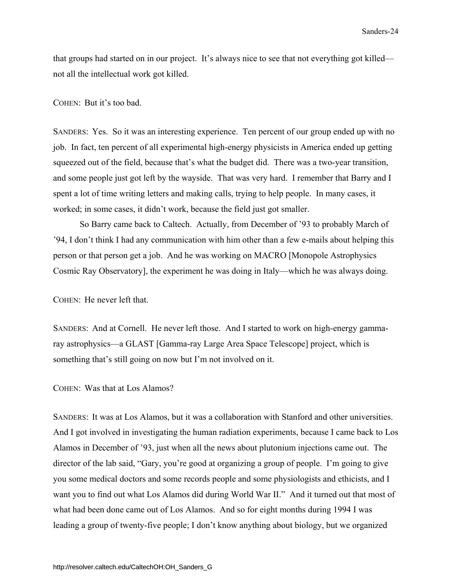<span id="page-29-0"></span>that groups had started on in our project. It's always nice to see that not everything got killed not all the intellectual work got killed.

### COHEN: But it's too bad.

SANDERS: Yes. So it was an interesting experience. Ten percent of our group ended up with no job. In fact, ten percent of all experimental high-energy physicists in America ended up getting squeezed out of the field, because that's what the budget did. There was a two-year transition, and some people just got left by the wayside. That was very hard. I remember that Barry and I spent a lot of time writing letters and making calls, trying to help people. In many cases, it worked; in some cases, it didn't work, because the field just got smaller.

 So Barry came back to Caltech. Actually, from December of '93 to probably March of '94, I don't think I had any communication with him other than a few e-mails about helping this person or that person get a job. And he was working on MACRO [Monopole Astrophysics Cosmic Ray Observatory], the experiment he was doing in Italy—which he was always doing.

COHEN: He never left that.

SANDERS: And at Cornell. He never left those. And I started to work on high-energy gammaray astrophysics—a GLAST [Gamma-ray Large Area Space Telescope] project, which is something that's still going on now but I'm not involved on it.

COHEN: Was that at Los Alamos?

SANDERS: It was at Los Alamos, but it was a collaboration with Stanford and other universities. And I got involved in investigating the human radiation experiments, because I came back to Los Alamos in December of '93, just when all the news about plutonium injections came out. The director of the lab said, "Gary, you're good at organizing a group of people. I'm going to give you some medical doctors and some records people and some physiologists and ethicists, and I want you to find out what Los Alamos did during World War II." And it turned out that most of what had been done came out of Los Alamos. And so for eight months during 1994 I was leading a group of twenty-five people; I don't know anything about biology, but we organized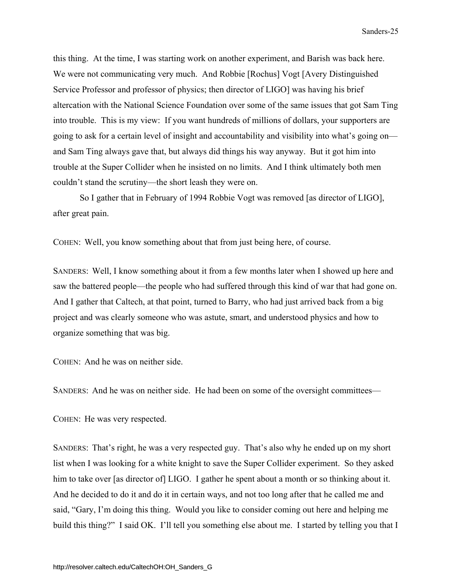this thing. At the time, I was starting work on another experiment, and Barish was back here. We were not communicating very much. And Robbie [Rochus] Vogt [Avery Distinguished Service Professor and professor of physics; then director of LIGO] was having his brief altercation with the National Science Foundation over some of the same issues that got Sam Ting into trouble. This is my view: If you want hundreds of millions of dollars, your supporters are going to ask for a certain level of insight and accountability and visibility into what's going on and Sam Ting always gave that, but always did things his way anyway. But it got him into trouble at the Super Collider when he insisted on no limits. And I think ultimately both men couldn't stand the scrutiny—the short leash they were on.

 So I gather that in February of 1994 Robbie Vogt was removed [as director of LIGO], after great pain.

COHEN: Well, you know something about that from just being here, of course.

SANDERS: Well, I know something about it from a few months later when I showed up here and saw the battered people—the people who had suffered through this kind of war that had gone on. And I gather that Caltech, at that point, turned to Barry, who had just arrived back from a big project and was clearly someone who was astute, smart, and understood physics and how to organize something that was big.

COHEN: And he was on neither side.

SANDERS: And he was on neither side. He had been on some of the oversight committees—

COHEN: He was very respected.

SANDERS: That's right, he was a very respected guy. That's also why he ended up on my short list when I was looking for a white knight to save the Super Collider experiment. So they asked him to take over [as director of] LIGO. I gather he spent about a month or so thinking about it. And he decided to do it and do it in certain ways, and not too long after that he called me and said, "Gary, I'm doing this thing. Would you like to consider coming out here and helping me build this thing?" I said OK. I'll tell you something else about me. I started by telling you that I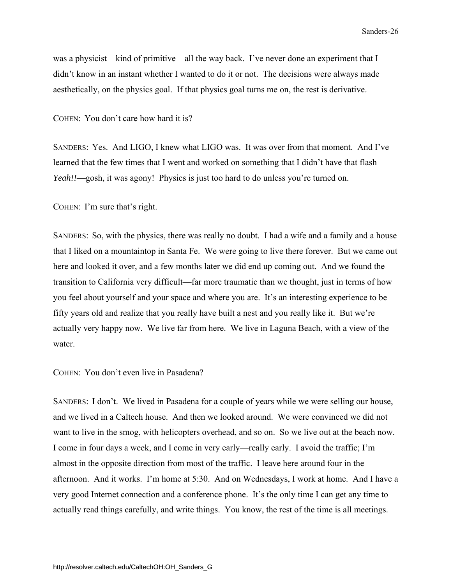<span id="page-31-0"></span>was a physicist—kind of primitive—all the way back. I've never done an experiment that I didn't know in an instant whether I wanted to do it or not. The decisions were always made aesthetically, on the physics goal. If that physics goal turns me on, the rest is derivative.

COHEN: You don't care how hard it is?

SANDERS: Yes. And LIGO, I knew what LIGO was. It was over from that moment. And I've learned that the few times that I went and worked on something that I didn't have that flash— *Yeah!!*—gosh, it was agony! Physics is just too hard to do unless you're turned on.

COHEN: I'm sure that's right.

SANDERS: So, with the physics, there was really no doubt. I had a wife and a family and a house that I liked on a mountaintop in Santa Fe. We were going to live there forever. But we came out here and looked it over, and a few months later we did end up coming out. And we found the transition to California very difficult—far more traumatic than we thought, just in terms of how you feel about yourself and your space and where you are. It's an interesting experience to be fifty years old and realize that you really have built a nest and you really like it. But we're actually very happy now. We live far from here. We live in Laguna Beach, with a view of the water.

COHEN: You don't even live in Pasadena?

SANDERS: I don't. We lived in Pasadena for a couple of years while we were selling our house, and we lived in a Caltech house. And then we looked around. We were convinced we did not want to live in the smog, with helicopters overhead, and so on. So we live out at the beach now. I come in four days a week, and I come in very early—really early. I avoid the traffic; I'm almost in the opposite direction from most of the traffic. I leave here around four in the afternoon. And it works. I'm home at 5:30. And on Wednesdays, I work at home. And I have a very good Internet connection and a conference phone. It's the only time I can get any time to actually read things carefully, and write things. You know, the rest of the time is all meetings.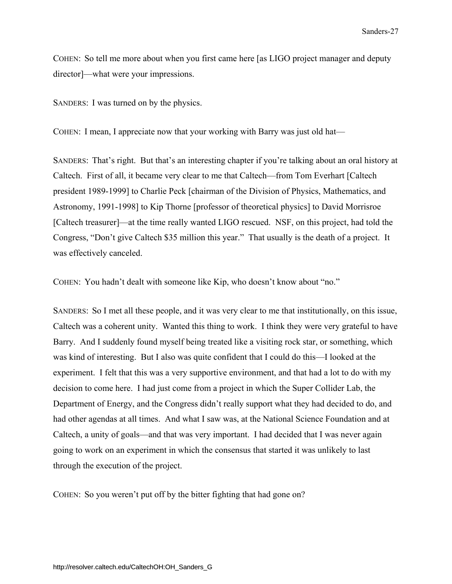COHEN: So tell me more about when you first came here [as LIGO project manager and deputy director]—what were your impressions.

SANDERS: I was turned on by the physics.

COHEN: I mean, I appreciate now that your working with Barry was just old hat—

SANDERS: That's right. But that's an interesting chapter if you're talking about an oral history at Caltech. First of all, it became very clear to me that Caltech—from Tom Everhart [Caltech president 1989-1999] to Charlie Peck [chairman of the Division of Physics, Mathematics, and Astronomy, 1991-1998] to Kip Thorne [professor of theoretical physics] to David Morrisroe [Caltech treasurer]—at the time really wanted LIGO rescued. NSF, on this project, had told the Congress, "Don't give Caltech \$35 million this year." That usually is the death of a project. It was effectively canceled.

COHEN: You hadn't dealt with someone like Kip, who doesn't know about "no."

SANDERS: So I met all these people, and it was very clear to me that institutionally, on this issue, Caltech was a coherent unity. Wanted this thing to work. I think they were very grateful to have Barry. And I suddenly found myself being treated like a visiting rock star, or something, which was kind of interesting. But I also was quite confident that I could do this—I looked at the experiment. I felt that this was a very supportive environment, and that had a lot to do with my decision to come here. I had just come from a project in which the Super Collider Lab, the Department of Energy, and the Congress didn't really support what they had decided to do, and had other agendas at all times. And what I saw was, at the National Science Foundation and at Caltech, a unity of goals—and that was very important. I had decided that I was never again going to work on an experiment in which the consensus that started it was unlikely to last through the execution of the project.

COHEN: So you weren't put off by the bitter fighting that had gone on?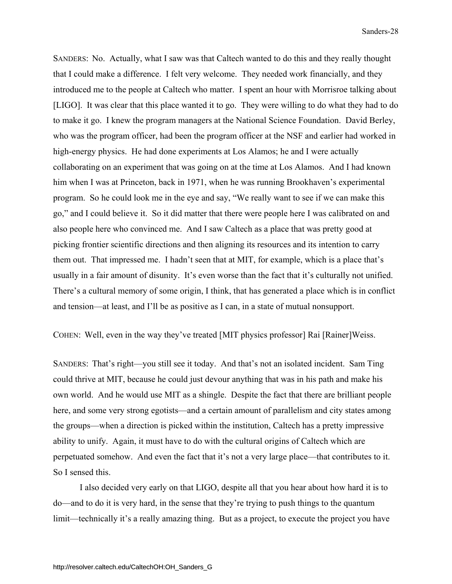SANDERS: No. Actually, what I saw was that Caltech wanted to do this and they really thought that I could make a difference. I felt very welcome. They needed work financially, and they introduced me to the people at Caltech who matter. I spent an hour with Morrisroe talking about [LIGO]. It was clear that this place wanted it to go. They were willing to do what they had to do to make it go. I knew the program managers at the National Science Foundation. David Berley, who was the program officer, had been the program officer at the NSF and earlier had worked in high-energy physics. He had done experiments at Los Alamos; he and I were actually collaborating on an experiment that was going on at the time at Los Alamos. And I had known him when I was at Princeton, back in 1971, when he was running Brookhaven's experimental program. So he could look me in the eye and say, "We really want to see if we can make this go," and I could believe it. So it did matter that there were people here I was calibrated on and also people here who convinced me. And I saw Caltech as a place that was pretty good at picking frontier scientific directions and then aligning its resources and its intention to carry them out. That impressed me. I hadn't seen that at MIT, for example, which is a place that's usually in a fair amount of disunity. It's even worse than the fact that it's culturally not unified. There's a cultural memory of some origin, I think, that has generated a place which is in conflict and tension—at least, and I'll be as positive as I can, in a state of mutual nonsupport.

COHEN: Well, even in the way they've treated [MIT physics professor] Rai [Rainer]Weiss.

SANDERS: That's right—you still see it today. And that's not an isolated incident. Sam Ting could thrive at MIT, because he could just devour anything that was in his path and make his own world. And he would use MIT as a shingle. Despite the fact that there are brilliant people here, and some very strong egotists—and a certain amount of parallelism and city states among the groups—when a direction is picked within the institution, Caltech has a pretty impressive ability to unify. Again, it must have to do with the cultural origins of Caltech which are perpetuated somehow. And even the fact that it's not a very large place—that contributes to it. So I sensed this.

 I also decided very early on that LIGO, despite all that you hear about how hard it is to do—and to do it is very hard, in the sense that they're trying to push things to the quantum limit—technically it's a really amazing thing. But as a project, to execute the project you have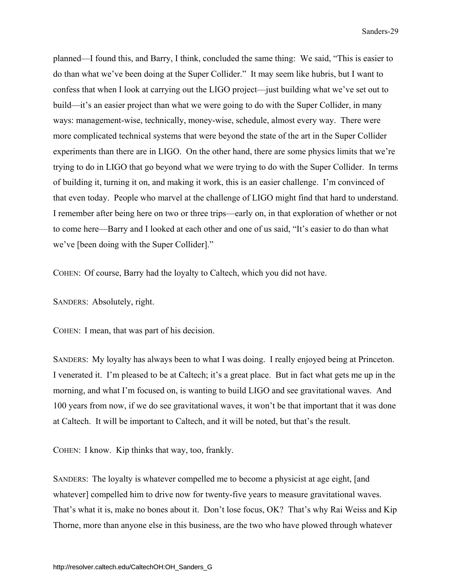planned—I found this, and Barry, I think, concluded the same thing: We said, "This is easier to do than what we've been doing at the Super Collider." It may seem like hubris, but I want to confess that when I look at carrying out the LIGO project—just building what we've set out to build—it's an easier project than what we were going to do with the Super Collider, in many ways: management-wise, technically, money-wise, schedule, almost every way. There were more complicated technical systems that were beyond the state of the art in the Super Collider experiments than there are in LIGO. On the other hand, there are some physics limits that we're trying to do in LIGO that go beyond what we were trying to do with the Super Collider. In terms of building it, turning it on, and making it work, this is an easier challenge. I'm convinced of that even today. People who marvel at the challenge of LIGO might find that hard to understand. I remember after being here on two or three trips—early on, in that exploration of whether or not to come here—Barry and I looked at each other and one of us said, "It's easier to do than what we've [been doing with the Super Collider]."

COHEN: Of course, Barry had the loyalty to Caltech, which you did not have.

SANDERS: Absolutely, right.

COHEN: I mean, that was part of his decision.

SANDERS: My loyalty has always been to what I was doing. I really enjoyed being at Princeton. I venerated it. I'm pleased to be at Caltech; it's a great place. But in fact what gets me up in the morning, and what I'm focused on, is wanting to build LIGO and see gravitational waves. And 100 years from now, if we do see gravitational waves, it won't be that important that it was done at Caltech. It will be important to Caltech, and it will be noted, but that's the result.

COHEN: I know. Kip thinks that way, too, frankly.

SANDERS: The loyalty is whatever compelled me to become a physicist at age eight, [and whatever] compelled him to drive now for twenty-five years to measure gravitational waves. That's what it is, make no bones about it. Don't lose focus, OK? That's why Rai Weiss and Kip Thorne, more than anyone else in this business, are the two who have plowed through whatever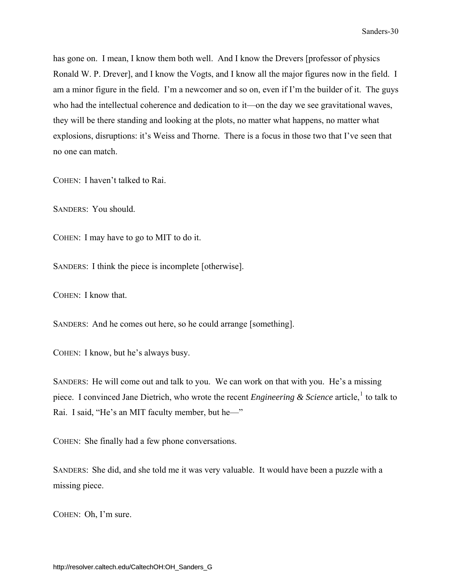has gone on. I mean, I know them both well. And I know the Drevers [professor of physics Ronald W. P. Drever], and I know the Vogts, and I know all the major figures now in the field. I am a minor figure in the field. I'm a newcomer and so on, even if I'm the builder of it. The guys who had the intellectual coherence and dedication to it—on the day we see gravitational waves, they will be there standing and looking at the plots, no matter what happens, no matter what explosions, disruptions: it's Weiss and Thorne. There is a focus in those two that I've seen that no one can match.

COHEN: I haven't talked to Rai.

SANDERS: You should.

COHEN: I may have to go to MIT to do it.

SANDERS: I think the piece is incomplete [otherwise].

COHEN: I know that.

SANDERS: And he comes out here, so he could arrange [something].

COHEN: I know, but he's always busy.

SANDERS: He will come out and talk to you. We can work on that with you. He's a missing piece. I convinced Jane Dietrich, who wrote the recent *Engineering & Science* article,<sup>[1](#page-49-0)</sup> to talk to Rai. I said, "He's an MIT faculty member, but he—"

COHEN: She finally had a few phone conversations.

SANDERS: She did, and she told me it was very valuable. It would have been a puzzle with a missing piece.

COHEN: Oh, I'm sure.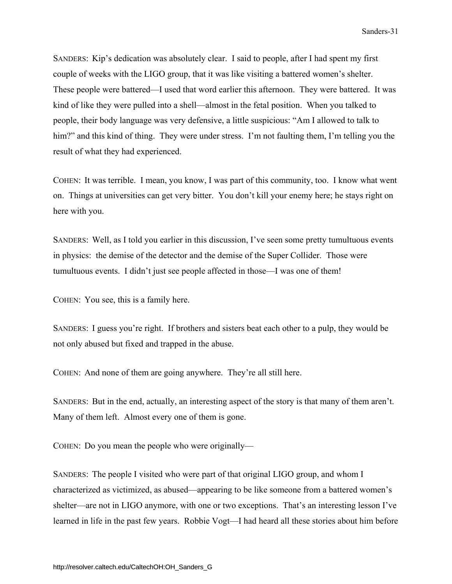SANDERS: Kip's dedication was absolutely clear. I said to people, after I had spent my first couple of weeks with the LIGO group, that it was like visiting a battered women's shelter. These people were battered—I used that word earlier this afternoon. They were battered. It was kind of like they were pulled into a shell—almost in the fetal position. When you talked to people, their body language was very defensive, a little suspicious: "Am I allowed to talk to him?" and this kind of thing. They were under stress. I'm not faulting them, I'm telling you the result of what they had experienced.

COHEN: It was terrible. I mean, you know, I was part of this community, too. I know what went on. Things at universities can get very bitter. You don't kill your enemy here; he stays right on here with you.

SANDERS: Well, as I told you earlier in this discussion, I've seen some pretty tumultuous events in physics: the demise of the detector and the demise of the Super Collider. Those were tumultuous events. I didn't just see people affected in those—I was one of them!

COHEN: You see, this is a family here.

SANDERS: I guess you're right. If brothers and sisters beat each other to a pulp, they would be not only abused but fixed and trapped in the abuse.

COHEN: And none of them are going anywhere. They're all still here.

SANDERS: But in the end, actually, an interesting aspect of the story is that many of them aren't. Many of them left. Almost every one of them is gone.

COHEN: Do you mean the people who were originally—

SANDERS: The people I visited who were part of that original LIGO group, and whom I characterized as victimized, as abused—appearing to be like someone from a battered women's shelter—are not in LIGO anymore, with one or two exceptions. That's an interesting lesson I've learned in life in the past few years. Robbie Vogt—I had heard all these stories about him before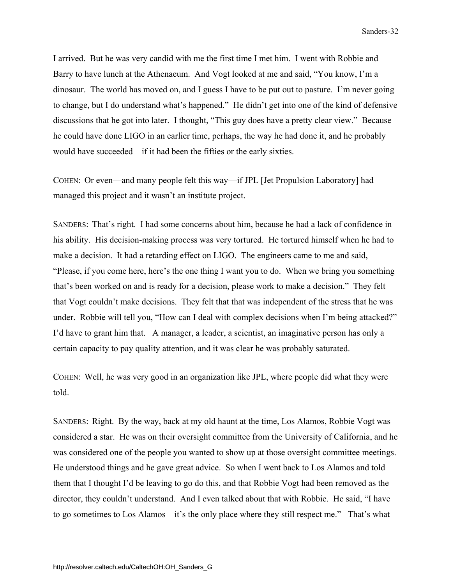I arrived. But he was very candid with me the first time I met him. I went with Robbie and Barry to have lunch at the Athenaeum. And Vogt looked at me and said, "You know, I'm a dinosaur. The world has moved on, and I guess I have to be put out to pasture. I'm never going to change, but I do understand what's happened." He didn't get into one of the kind of defensive discussions that he got into later. I thought, "This guy does have a pretty clear view." Because he could have done LIGO in an earlier time, perhaps, the way he had done it, and he probably would have succeeded—if it had been the fifties or the early sixties.

COHEN: Or even—and many people felt this way—if JPL [Jet Propulsion Laboratory] had managed this project and it wasn't an institute project.

SANDERS: That's right. I had some concerns about him, because he had a lack of confidence in his ability. His decision-making process was very tortured. He tortured himself when he had to make a decision. It had a retarding effect on LIGO. The engineers came to me and said, "Please, if you come here, here's the one thing I want you to do. When we bring you something that's been worked on and is ready for a decision, please work to make a decision." They felt that Vogt couldn't make decisions. They felt that that was independent of the stress that he was under. Robbie will tell you, "How can I deal with complex decisions when I'm being attacked?" I'd have to grant him that. A manager, a leader, a scientist, an imaginative person has only a certain capacity to pay quality attention, and it was clear he was probably saturated.

COHEN: Well, he was very good in an organization like JPL, where people did what they were told.

SANDERS: Right. By the way, back at my old haunt at the time, Los Alamos, Robbie Vogt was considered a star. He was on their oversight committee from the University of California, and he was considered one of the people you wanted to show up at those oversight committee meetings. He understood things and he gave great advice. So when I went back to Los Alamos and told them that I thought I'd be leaving to go do this, and that Robbie Vogt had been removed as the director, they couldn't understand. And I even talked about that with Robbie. He said, "I have to go sometimes to Los Alamos—it's the only place where they still respect me." That's what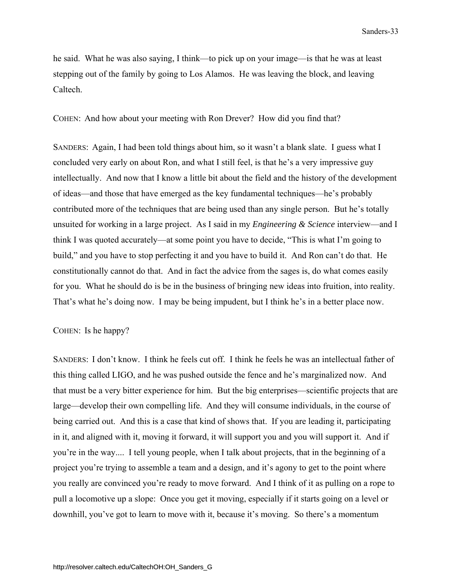he said. What he was also saying, I think—to pick up on your image—is that he was at least stepping out of the family by going to Los Alamos. He was leaving the block, and leaving Caltech.

COHEN: And how about your meeting with Ron Drever? How did you find that?

SANDERS: Again, I had been told things about him, so it wasn't a blank slate. I guess what I concluded very early on about Ron, and what I still feel, is that he's a very impressive guy intellectually. And now that I know a little bit about the field and the history of the development of ideas—and those that have emerged as the key fundamental techniques—he's probably contributed more of the techniques that are being used than any single person. But he's totally unsuited for working in a large project. As I said in my *Engineering & Science* interview—and I think I was quoted accurately—at some point you have to decide, "This is what I'm going to build," and you have to stop perfecting it and you have to build it. And Ron can't do that. He constitutionally cannot do that. And in fact the advice from the sages is, do what comes easily for you. What he should do is be in the business of bringing new ideas into fruition, into reality. That's what he's doing now. I may be being impudent, but I think he's in a better place now.

### COHEN: Is he happy?

SANDERS: I don't know. I think he feels cut off. I think he feels he was an intellectual father of this thing called LIGO, and he was pushed outside the fence and he's marginalized now. And that must be a very bitter experience for him. But the big enterprises—scientific projects that are large—develop their own compelling life. And they will consume individuals, in the course of being carried out. And this is a case that kind of shows that. If you are leading it, participating in it, and aligned with it, moving it forward, it will support you and you will support it. And if you're in the way.... I tell young people, when I talk about projects, that in the beginning of a project you're trying to assemble a team and a design, and it's agony to get to the point where you really are convinced you're ready to move forward. And I think of it as pulling on a rope to pull a locomotive up a slope: Once you get it moving, especially if it starts going on a level or downhill, you've got to learn to move with it, because it's moving. So there's a momentum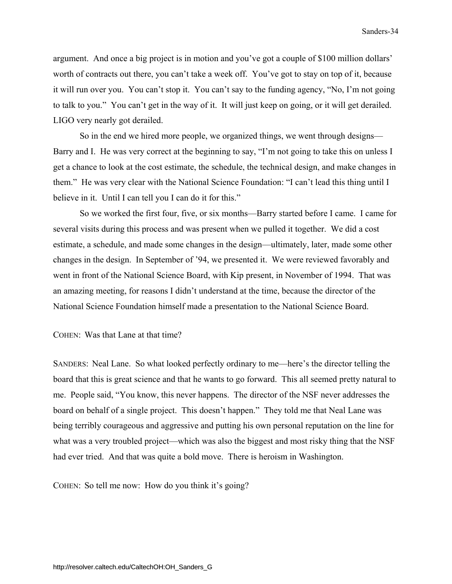<span id="page-39-0"></span>argument. And once a big project is in motion and you've got a couple of \$100 million dollars' worth of contracts out there, you can't take a week off. You've got to stay on top of it, because it will run over you. You can't stop it. You can't say to the funding agency, "No, I'm not going to talk to you." You can't get in the way of it. It will just keep on going, or it will get derailed. LIGO very nearly got derailed.

 So in the end we hired more people, we organized things, we went through designs— Barry and I. He was very correct at the beginning to say, "I'm not going to take this on unless I get a chance to look at the cost estimate, the schedule, the technical design, and make changes in them." He was very clear with the National Science Foundation: "I can't lead this thing until I believe in it. Until I can tell you I can do it for this."

 So we worked the first four, five, or six months—Barry started before I came. I came for several visits during this process and was present when we pulled it together. We did a cost estimate, a schedule, and made some changes in the design—ultimately, later, made some other changes in the design. In September of '94, we presented it. We were reviewed favorably and went in front of the National Science Board, with Kip present, in November of 1994. That was an amazing meeting, for reasons I didn't understand at the time, because the director of the National Science Foundation himself made a presentation to the National Science Board.

COHEN: Was that Lane at that time?

SANDERS: Neal Lane. So what looked perfectly ordinary to me—here's the director telling the board that this is great science and that he wants to go forward. This all seemed pretty natural to me. People said, "You know, this never happens. The director of the NSF never addresses the board on behalf of a single project. This doesn't happen." They told me that Neal Lane was being terribly courageous and aggressive and putting his own personal reputation on the line for what was a very troubled project—which was also the biggest and most risky thing that the NSF had ever tried. And that was quite a bold move. There is heroism in Washington.

COHEN: So tell me now: How do you think it's going?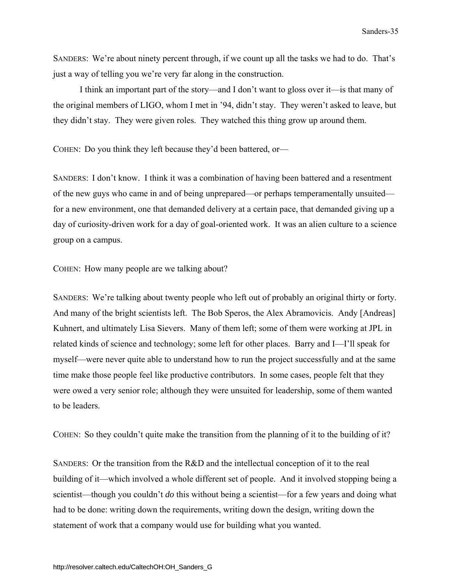SANDERS: We're about ninety percent through, if we count up all the tasks we had to do. That's just a way of telling you we're very far along in the construction.

 I think an important part of the story—and I don't want to gloss over it—is that many of the original members of LIGO, whom I met in '94, didn't stay. They weren't asked to leave, but they didn't stay. They were given roles. They watched this thing grow up around them.

COHEN: Do you think they left because they'd been battered, or—

SANDERS: I don't know. I think it was a combination of having been battered and a resentment of the new guys who came in and of being unprepared—or perhaps temperamentally unsuited for a new environment, one that demanded delivery at a certain pace, that demanded giving up a day of curiosity-driven work for a day of goal-oriented work. It was an alien culture to a science group on a campus.

COHEN: How many people are we talking about?

SANDERS: We're talking about twenty people who left out of probably an original thirty or forty. And many of the bright scientists left. The Bob Speros, the Alex Abramovicis. Andy [Andreas] Kuhnert, and ultimately Lisa Sievers. Many of them left; some of them were working at JPL in related kinds of science and technology; some left for other places. Barry and I—I'll speak for myself—were never quite able to understand how to run the project successfully and at the same time make those people feel like productive contributors. In some cases, people felt that they were owed a very senior role; although they were unsuited for leadership, some of them wanted to be leaders.

COHEN: So they couldn't quite make the transition from the planning of it to the building of it?

SANDERS: Or the transition from the R&D and the intellectual conception of it to the real building of it—which involved a whole different set of people. And it involved stopping being a scientist—though you couldn't *do* this without being a scientist—for a few years and doing what had to be done: writing down the requirements, writing down the design, writing down the statement of work that a company would use for building what you wanted.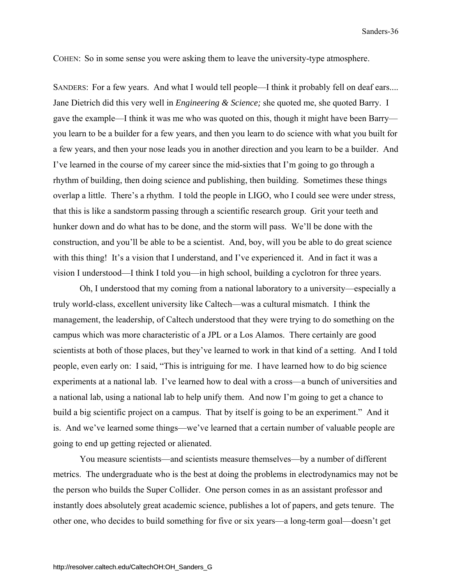COHEN: So in some sense you were asking them to leave the university-type atmosphere.

SANDERS: For a few years. And what I would tell people—I think it probably fell on deaf ears.... Jane Dietrich did this very well in *Engineering & Science;* she quoted me, she quoted Barry. I gave the example—I think it was me who was quoted on this, though it might have been Barry you learn to be a builder for a few years, and then you learn to do science with what you built for a few years, and then your nose leads you in another direction and you learn to be a builder. And I've learned in the course of my career since the mid-sixties that I'm going to go through a rhythm of building, then doing science and publishing, then building. Sometimes these things overlap a little. There's a rhythm. I told the people in LIGO, who I could see were under stress, that this is like a sandstorm passing through a scientific research group. Grit your teeth and hunker down and do what has to be done, and the storm will pass. We'll be done with the construction, and you'll be able to be a scientist. And, boy, will you be able to do great science with this thing! It's a vision that I understand, and I've experienced it. And in fact it was a vision I understood—I think I told you—in high school, building a cyclotron for three years.

 Oh, I understood that my coming from a national laboratory to a university—especially a truly world-class, excellent university like Caltech—was a cultural mismatch. I think the management, the leadership, of Caltech understood that they were trying to do something on the campus which was more characteristic of a JPL or a Los Alamos. There certainly are good scientists at both of those places, but they've learned to work in that kind of a setting. And I told people, even early on: I said, "This is intriguing for me. I have learned how to do big science experiments at a national lab. I've learned how to deal with a cross—a bunch of universities and a national lab, using a national lab to help unify them. And now I'm going to get a chance to build a big scientific project on a campus. That by itself is going to be an experiment." And it is. And we've learned some things—we've learned that a certain number of valuable people are going to end up getting rejected or alienated.

 You measure scientists—and scientists measure themselves—by a number of different metrics. The undergraduate who is the best at doing the problems in electrodynamics may not be the person who builds the Super Collider. One person comes in as an assistant professor and instantly does absolutely great academic science, publishes a lot of papers, and gets tenure. The other one, who decides to build something for five or six years—a long-term goal—doesn't get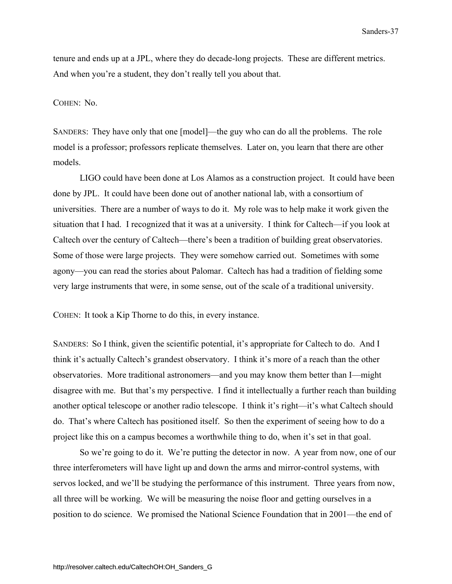tenure and ends up at a JPL, where they do decade-long projects. These are different metrics. And when you're a student, they don't really tell you about that.

### COHEN: No.

SANDERS: They have only that one [model]—the guy who can do all the problems. The role model is a professor; professors replicate themselves. Later on, you learn that there are other models.

 LIGO could have been done at Los Alamos as a construction project. It could have been done by JPL. It could have been done out of another national lab, with a consortium of universities. There are a number of ways to do it. My role was to help make it work given the situation that I had. I recognized that it was at a university. I think for Caltech—if you look at Caltech over the century of Caltech—there's been a tradition of building great observatories. Some of those were large projects. They were somehow carried out. Sometimes with some agony—you can read the stories about Palomar. Caltech has had a tradition of fielding some very large instruments that were, in some sense, out of the scale of a traditional university.

COHEN: It took a Kip Thorne to do this, in every instance.

SANDERS: So I think, given the scientific potential, it's appropriate for Caltech to do. And I think it's actually Caltech's grandest observatory. I think it's more of a reach than the other observatories. More traditional astronomers—and you may know them better than I—might disagree with me. But that's my perspective. I find it intellectually a further reach than building another optical telescope or another radio telescope. I think it's right—it's what Caltech should do. That's where Caltech has positioned itself. So then the experiment of seeing how to do a project like this on a campus becomes a worthwhile thing to do, when it's set in that goal.

 So we're going to do it. We're putting the detector in now. A year from now, one of our three interferometers will have light up and down the arms and mirror-control systems, with servos locked, and we'll be studying the performance of this instrument. Three years from now, all three will be working. We will be measuring the noise floor and getting ourselves in a position to do science. We promised the National Science Foundation that in 2001—the end of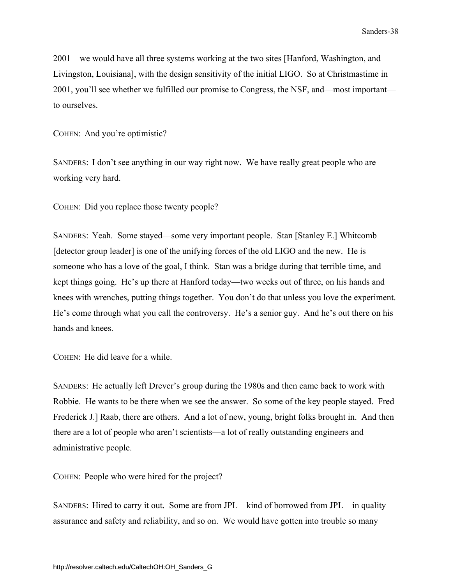2001—we would have all three systems working at the two sites [Hanford, Washington, and Livingston, Louisiana], with the design sensitivity of the initial LIGO. So at Christmastime in 2001, you'll see whether we fulfilled our promise to Congress, the NSF, and—most important to ourselves.

COHEN: And you're optimistic?

SANDERS: I don't see anything in our way right now. We have really great people who are working very hard.

COHEN: Did you replace those twenty people?

SANDERS: Yeah. Some stayed—some very important people. Stan [Stanley E.] Whitcomb [detector group leader] is one of the unifying forces of the old LIGO and the new. He is someone who has a love of the goal, I think. Stan was a bridge during that terrible time, and kept things going. He's up there at Hanford today—two weeks out of three, on his hands and knees with wrenches, putting things together. You don't do that unless you love the experiment. He's come through what you call the controversy. He's a senior guy. And he's out there on his hands and knees.

COHEN: He did leave for a while.

SANDERS: He actually left Drever's group during the 1980s and then came back to work with Robbie. He wants to be there when we see the answer. So some of the key people stayed. Fred Frederick J.] Raab, there are others. And a lot of new, young, bright folks brought in. And then there are a lot of people who aren't scientists—a lot of really outstanding engineers and administrative people.

COHEN: People who were hired for the project?

SANDERS: Hired to carry it out. Some are from JPL—kind of borrowed from JPL—in quality assurance and safety and reliability, and so on. We would have gotten into trouble so many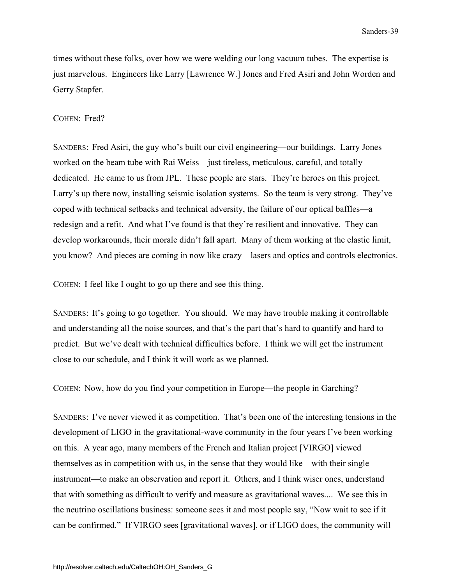<span id="page-44-0"></span>times without these folks, over how we were welding our long vacuum tubes. The expertise is just marvelous. Engineers like Larry [Lawrence W.] Jones and Fred Asiri and John Worden and Gerry Stapfer.

### COHEN: Fred?

SANDERS: Fred Asiri, the guy who's built our civil engineering—our buildings. Larry Jones worked on the beam tube with Rai Weiss—just tireless, meticulous, careful, and totally dedicated. He came to us from JPL. These people are stars. They're heroes on this project. Larry's up there now, installing seismic isolation systems. So the team is very strong. They've coped with technical setbacks and technical adversity, the failure of our optical baffles—a redesign and a refit. And what I've found is that they're resilient and innovative. They can develop workarounds, their morale didn't fall apart. Many of them working at the elastic limit, you know? And pieces are coming in now like crazy—lasers and optics and controls electronics.

COHEN: I feel like I ought to go up there and see this thing.

SANDERS: It's going to go together. You should. We may have trouble making it controllable and understanding all the noise sources, and that's the part that's hard to quantify and hard to predict. But we've dealt with technical difficulties before. I think we will get the instrument close to our schedule, and I think it will work as we planned.

COHEN: Now, how do you find your competition in Europe—the people in Garching?

SANDERS: I've never viewed it as competition. That's been one of the interesting tensions in the development of LIGO in the gravitational-wave community in the four years I've been working on this. A year ago, many members of the French and Italian project [VIRGO] viewed themselves as in competition with us, in the sense that they would like—with their single instrument—to make an observation and report it. Others, and I think wiser ones, understand that with something as difficult to verify and measure as gravitational waves.... We see this in the neutrino oscillations business: someone sees it and most people say, "Now wait to see if it can be confirmed." If VIRGO sees [gravitational waves], or if LIGO does, the community will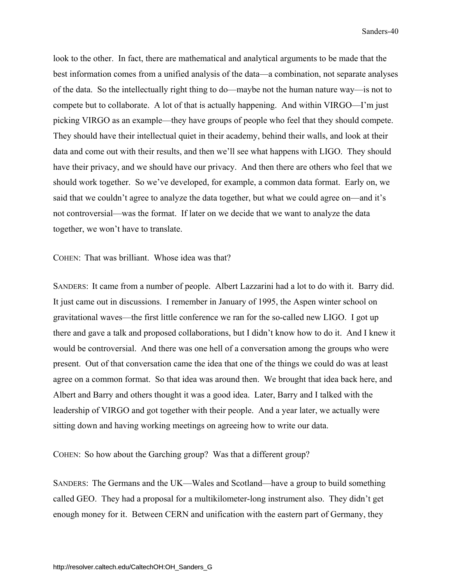look to the other. In fact, there are mathematical and analytical arguments to be made that the best information comes from a unified analysis of the data—a combination, not separate analyses of the data. So the intellectually right thing to do—maybe not the human nature way—is not to compete but to collaborate. A lot of that is actually happening. And within VIRGO—I'm just picking VIRGO as an example—they have groups of people who feel that they should compete. They should have their intellectual quiet in their academy, behind their walls, and look at their data and come out with their results, and then we'll see what happens with LIGO. They should have their privacy, and we should have our privacy. And then there are others who feel that we should work together. So we've developed, for example, a common data format. Early on, we said that we couldn't agree to analyze the data together, but what we could agree on—and it's not controversial—was the format. If later on we decide that we want to analyze the data together, we won't have to translate.

COHEN: That was brilliant. Whose idea was that?

SANDERS: It came from a number of people. Albert Lazzarini had a lot to do with it. Barry did. It just came out in discussions. I remember in January of 1995, the Aspen winter school on gravitational waves—the first little conference we ran for the so-called new LIGO. I got up there and gave a talk and proposed collaborations, but I didn't know how to do it. And I knew it would be controversial. And there was one hell of a conversation among the groups who were present. Out of that conversation came the idea that one of the things we could do was at least agree on a common format. So that idea was around then. We brought that idea back here, and Albert and Barry and others thought it was a good idea. Later, Barry and I talked with the leadership of VIRGO and got together with their people. And a year later, we actually were sitting down and having working meetings on agreeing how to write our data.

COHEN: So how about the Garching group? Was that a different group?

SANDERS: The Germans and the UK—Wales and Scotland—have a group to build something called GEO. They had a proposal for a multikilometer-long instrument also. They didn't get enough money for it. Between CERN and unification with the eastern part of Germany, they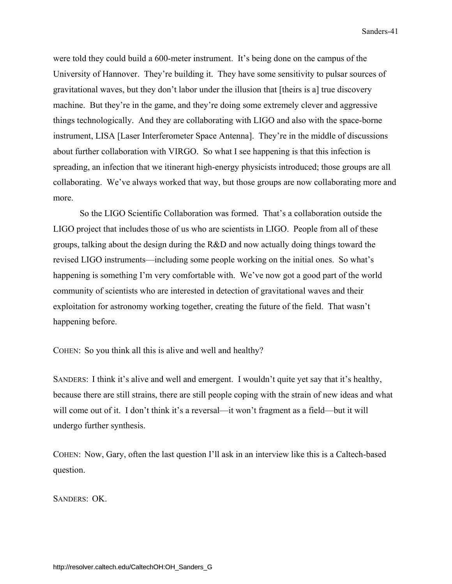were told they could build a 600-meter instrument. It's being done on the campus of the University of Hannover. They're building it. They have some sensitivity to pulsar sources of gravitational waves, but they don't labor under the illusion that [theirs is a] true discovery machine. But they're in the game, and they're doing some extremely clever and aggressive things technologically. And they are collaborating with LIGO and also with the space-borne instrument, LISA [Laser Interferometer Space Antenna]. They're in the middle of discussions about further collaboration with VIRGO. So what I see happening is that this infection is spreading, an infection that we itinerant high-energy physicists introduced; those groups are all collaborating. We've always worked that way, but those groups are now collaborating more and more.

 So the LIGO Scientific Collaboration was formed. That's a collaboration outside the LIGO project that includes those of us who are scientists in LIGO. People from all of these groups, talking about the design during the R&D and now actually doing things toward the revised LIGO instruments—including some people working on the initial ones. So what's happening is something I'm very comfortable with. We've now got a good part of the world community of scientists who are interested in detection of gravitational waves and their exploitation for astronomy working together, creating the future of the field. That wasn't happening before.

COHEN: So you think all this is alive and well and healthy?

SANDERS: I think it's alive and well and emergent. I wouldn't quite yet say that it's healthy, because there are still strains, there are still people coping with the strain of new ideas and what will come out of it. I don't think it's a reversal—it won't fragment as a field—but it will undergo further synthesis.

COHEN: Now, Gary, often the last question I'll ask in an interview like this is a Caltech-based question.

SANDERS: OK.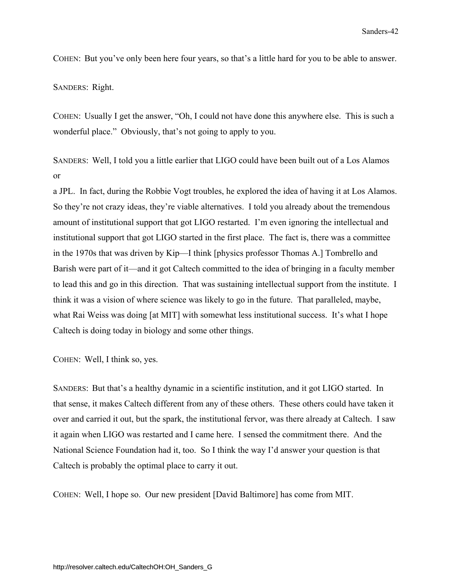COHEN: But you've only been here four years, so that's a little hard for you to be able to answer.

SANDERS: Right.

COHEN: Usually I get the answer, "Oh, I could not have done this anywhere else. This is such a wonderful place." Obviously, that's not going to apply to you.

SANDERS: Well, I told you a little earlier that LIGO could have been built out of a Los Alamos or

a JPL. In fact, during the Robbie Vogt troubles, he explored the idea of having it at Los Alamos. So they're not crazy ideas, they're viable alternatives. I told you already about the tremendous amount of institutional support that got LIGO restarted. I'm even ignoring the intellectual and institutional support that got LIGO started in the first place. The fact is, there was a committee in the 1970s that was driven by Kip—I think [physics professor Thomas A.] Tombrello and Barish were part of it—and it got Caltech committed to the idea of bringing in a faculty member to lead this and go in this direction. That was sustaining intellectual support from the institute. I think it was a vision of where science was likely to go in the future. That paralleled, maybe, what Rai Weiss was doing [at MIT] with somewhat less institutional success. It's what I hope Caltech is doing today in biology and some other things.

COHEN: Well, I think so, yes.

SANDERS: But that's a healthy dynamic in a scientific institution, and it got LIGO started. In that sense, it makes Caltech different from any of these others. These others could have taken it over and carried it out, but the spark, the institutional fervor, was there already at Caltech. I saw it again when LIGO was restarted and I came here. I sensed the commitment there. And the National Science Foundation had it, too. So I think the way I'd answer your question is that Caltech is probably the optimal place to carry it out.

COHEN: Well, I hope so. Our new president [David Baltimore] has come from MIT.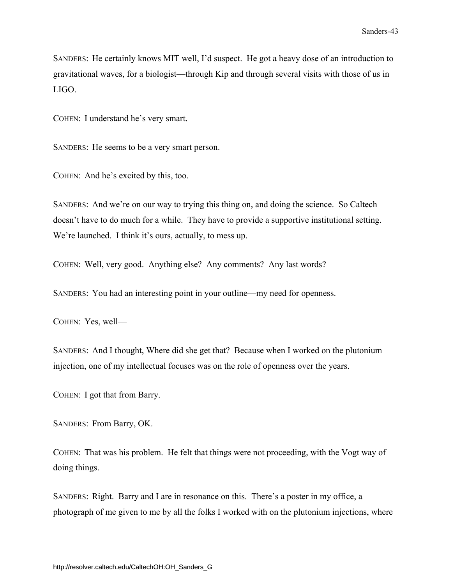SANDERS: He certainly knows MIT well, I'd suspect. He got a heavy dose of an introduction to gravitational waves, for a biologist—through Kip and through several visits with those of us in LIGO.

COHEN: I understand he's very smart.

SANDERS: He seems to be a very smart person.

COHEN: And he's excited by this, too.

SANDERS: And we're on our way to trying this thing on, and doing the science. So Caltech doesn't have to do much for a while. They have to provide a supportive institutional setting. We're launched. I think it's ours, actually, to mess up.

COHEN: Well, very good. Anything else? Any comments? Any last words?

SANDERS: You had an interesting point in your outline—my need for openness.

COHEN: Yes, well—

SANDERS: And I thought, Where did she get that? Because when I worked on the plutonium injection, one of my intellectual focuses was on the role of openness over the years.

COHEN: I got that from Barry.

SANDERS: From Barry, OK.

COHEN: That was his problem. He felt that things were not proceeding, with the Vogt way of doing things.

SANDERS: Right. Barry and I are in resonance on this. There's a poster in my office, a photograph of me given to me by all the folks I worked with on the plutonium injections, where